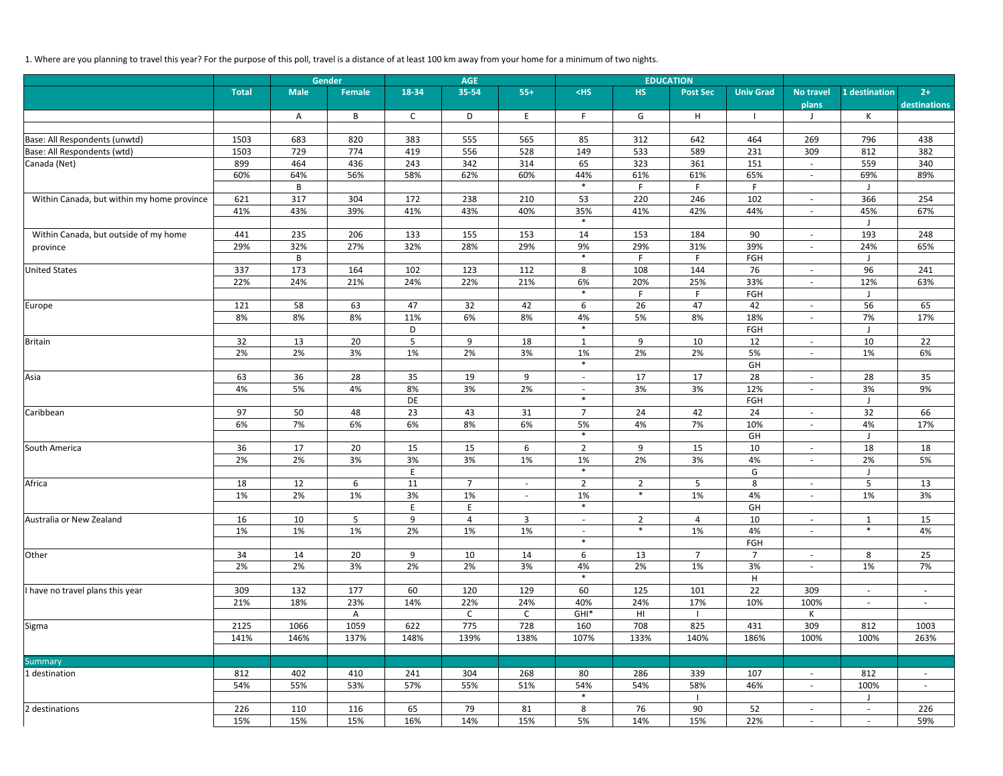# 1. Where are you planning to travel this year? For the purpose of this poll, travel is a distance of at least 100 km away from your home for a minimum of two nights.

|                                            |              |             | Gender              |              | <b>AGE</b>         |                          |                          |                | <b>EDUCATION</b> |                           |                                                      |                          |                      |
|--------------------------------------------|--------------|-------------|---------------------|--------------|--------------------|--------------------------|--------------------------|----------------|------------------|---------------------------|------------------------------------------------------|--------------------------|----------------------|
|                                            | <b>Total</b> | <b>Male</b> | <b>Female</b>       | 18-34        | 35-54              | $55+$                    | $<$ HS                   | <b>HS</b>      | <b>Post Sec</b>  | <b>Univ Grad</b>          | <b>No travel</b><br>plans                            | 1 destination            | $2+$<br>destinations |
|                                            |              | A           | B                   | $\mathsf{C}$ | D                  | E                        | F                        | G              | H                | $\blacksquare$            | $\mathsf{L}$                                         | К                        |                      |
|                                            |              |             |                     |              |                    |                          |                          |                |                  |                           |                                                      |                          |                      |
| Base: All Respondents (unwtd)              | 1503         | 683         | 820                 | 383          | 555                | 565                      | 85                       | 312            | 642              | 464                       | 269                                                  | 796                      | 438                  |
| Base: All Respondents (wtd)                | 1503         | 729         | 774                 | 419          | 556                | 528                      | 149                      | 533            | 589              | 231                       | 309                                                  | 812                      | 382                  |
| Canada (Net)                               | 899          | 464         | 436                 | 243          | 342                | 314                      | 65                       | 323            | 361              | 151                       | $\overline{\phantom{a}}$                             | 559                      | 340                  |
|                                            | 60%          | 64%         | 56%                 | 58%          | 62%                | 60%                      | 44%                      | 61%            | 61%              | 65%                       | $ \,$                                                | 69%                      | 89%                  |
|                                            |              | B           |                     |              |                    |                          | $\ast$                   | F              | F.               | F                         |                                                      | - J                      |                      |
| Within Canada, but within my home province | 621          | 317         | 304                 | 172          | 238                | 210                      | 53                       | 220            | 246              | 102                       | $ \,$                                                | 366                      | 254                  |
|                                            | 41%          | 43%         | 39%                 | 41%          | 43%                | 40%                      | 35%<br>$\ast$            | 41%            | 42%              | 44%                       | $\overline{\phantom{a}}$                             | 45%<br>J                 | 67%                  |
| Within Canada, but outside of my home      | 441          | 235         | 206                 | 133          | 155                | 153                      | 14                       | 153            | 184              | 90                        | $\overline{\phantom{a}}$                             | 193                      | 248                  |
| province                                   | 29%          | 32%         | 27%                 | 32%          | 28%                | 29%                      | 9%                       | 29%            | 31%              | 39%                       | $\overline{\phantom{a}}$                             | 24%                      | 65%                  |
|                                            |              | B           |                     |              |                    |                          | $\ast$                   | F.             | F.               | FGH                       |                                                      | - J                      |                      |
| <b>United States</b>                       | 337          | 173         | 164                 | 102          | 123                | 112                      | 8                        | 108            | 144              | 76                        | $\overline{\phantom{a}}$                             | 96                       | 241                  |
|                                            | 22%          | 24%         | 21%                 | 24%          | 22%                | 21%                      | 6%                       | 20%            | 25%              | 33%                       | $\overline{\phantom{a}}$                             | 12%                      | 63%                  |
|                                            |              |             |                     |              |                    |                          | $\ast$                   | F.             | F.               | FGH                       |                                                      | ل                        |                      |
| Europe                                     | 121          | 58          | 63                  | 47           | 32                 | 42                       | 6                        | 26             | 47               | 42                        | $\overline{\phantom{a}}$                             | 56                       | 65                   |
|                                            | 8%           | 8%          | 8%                  | 11%          | 6%                 | 8%                       | 4%                       | 5%             | 8%               | 18%                       | $\overline{\phantom{a}}$                             | 7%                       | 17%                  |
|                                            |              |             |                     | D            |                    |                          | $\ast$                   |                |                  | FGH                       |                                                      | J                        |                      |
| Britain                                    | 32           | 13          | 20                  | 5            | 9                  | 18                       | 1                        | 9              | 10               | 12                        | $ \,$                                                | 10                       | 22                   |
|                                            | 2%           | 2%          | 3%                  | 1%           | 2%                 | 3%                       | 1%                       | 2%             | 2%               | 5%                        | $\overline{\phantom{a}}$                             | 1%                       | 6%                   |
|                                            |              |             |                     |              |                    |                          | $\ast$                   |                |                  | GH                        |                                                      |                          |                      |
| Asia                                       | 63           | 36          | 28                  | 35           | 19                 | 9                        | $\sim$                   | 17             | 17               | 28                        | $\overline{\phantom{a}}$                             | 28                       | 35                   |
|                                            | 4%           | 5%          | 4%                  | 8%           | 3%                 | 2%                       | $-$<br>$\ast$            | 3%             | 3%               | 12%                       | $\overline{\phantom{a}}$                             | $3%$                     | 9%                   |
| Caribbean                                  | 97           | 50          | 48                  | DE<br>23     | 43                 |                          | $\overline{7}$           |                | 42               | FGH<br>24                 |                                                      | IJ                       | 66                   |
|                                            | 6%           | 7%          | 6%                  | 6%           | 8%                 | 31<br>6%                 | 5%                       | 24<br>4%       | 7%               | 10%                       | $\overline{\phantom{a}}$<br>$\overline{\phantom{a}}$ | 32<br>4%                 | 17%                  |
|                                            |              |             |                     |              |                    |                          | $\ast$                   |                |                  | GH                        |                                                      | l.                       |                      |
| South America                              | 36           | 17          | 20                  | 15           | 15                 | 6                        | $\overline{2}$           | 9              | 15               | 10                        | $\overline{\phantom{a}}$                             | 18                       | 18                   |
|                                            | 2%           | 2%          | 3%                  | 3%           | 3%                 | 1%                       | 1%                       | 2%             | 3%               | 4%                        | $\overline{\phantom{a}}$                             | 2%                       | 5%                   |
|                                            |              |             |                     | E            |                    |                          | $\ast$                   |                |                  | G                         |                                                      | - J                      |                      |
| Africa                                     | 18           | 12          | 6                   | 11           | $\overline{7}$     | $\overline{\phantom{a}}$ | $\overline{2}$           | $\overline{2}$ | 5                | $\,8\,$                   | $\overline{\phantom{a}}$                             | 5                        | 13                   |
|                                            | 1%           | 2%          | 1%                  | 3%           | $1\%$              | $\overline{\phantom{a}}$ | 1%                       | $\ast$         | 1%               | 4%                        | $\overline{\phantom{a}}$                             | 1%                       | 3%                   |
|                                            |              |             |                     | E            | E                  |                          |                          |                |                  | GH                        |                                                      |                          |                      |
| Australia or New Zealand                   | 16           | 10          | $5\phantom{.}$      | 9            | 4                  | $\mathbf{3}$             | $\sim$                   | $\overline{2}$ | 4                | 10                        | $\overline{\phantom{a}}$                             | $\mathbf{1}$             | 15                   |
|                                            | 1%           | 1%          | 1%                  | 2%           | 1%                 | 1%                       | $\overline{\phantom{a}}$ | $\ast$         | 1%               | 4%                        | $\overline{\phantom{a}}$                             | $\ast$                   | 4%                   |
|                                            |              |             |                     |              |                    |                          | $\ast$                   |                |                  | FGH                       |                                                      |                          |                      |
| Other                                      | 34           | 14          | 20                  | 9            | 10                 | 14                       | 6                        | 13             | $\overline{7}$   | $\overline{7}$            | $\sim$                                               | 8                        | 25                   |
|                                            | 2%           | 2%          | 3%                  | 2%           | 2%                 | 3%                       | 4%<br>$\ast$             | 2%             | 1%               | 3%                        | $\sim$                                               | 1%                       | 7%                   |
|                                            |              |             |                     |              |                    |                          |                          |                |                  | $\boldsymbol{\mathsf{H}}$ |                                                      |                          |                      |
| I have no travel plans this year           | 309<br>21%   | 132         | 177                 | 60<br>14%    | 120                | 129                      | 60<br>40%                | 125<br>24%     | 101              | 22<br>10%                 | 309<br>100%                                          | $\overline{\phantom{a}}$ | $\sim$               |
|                                            |              | 18%         | 23%<br>$\mathsf{A}$ |              | 22%<br>$\mathsf C$ | 24%<br>$\mathsf{C}$      | $GHI*$                   | H <sub>l</sub> | 17%              |                           | K                                                    | $\overline{\phantom{a}}$ | $\sim$               |
| Sigma                                      | 2125         | 1066        | 1059                | 622          | 775                | 728                      | 160                      | 708            | 825              | 431                       | 309                                                  | 812                      | 1003                 |
|                                            | 141%         | 146%        | 137%                | 148%         | 139%               | 138%                     | 107%                     | 133%           | 140%             | 186%                      | 100%                                                 | 100%                     | 263%                 |
|                                            |              |             |                     |              |                    |                          |                          |                |                  |                           |                                                      |                          |                      |
| <b>Summary</b>                             |              |             |                     |              |                    |                          |                          |                |                  |                           |                                                      |                          |                      |
| 1 destination                              | 812          | 402         | 410                 | 241          | 304                | 268                      | 80                       | 286            | 339              | 107                       | $ \,$                                                | 812                      | $\sim$               |
|                                            | 54%          | 55%         | 53%                 | 57%          | 55%                | 51%                      | 54%                      | 54%            | 58%              | 46%                       | $\overline{\phantom{a}}$                             | 100%                     | $\sim$               |
|                                            |              |             |                     |              |                    |                          | $\ast$                   |                |                  |                           |                                                      | J                        |                      |
| 2 destinations                             | 226          | 110         | 116                 | 65           | 79                 | 81                       | 8                        | 76             | 90               | 52                        | $\overline{\phantom{a}}$                             | $\overline{\phantom{a}}$ | 226                  |
|                                            | 15%          | 15%         | 15%                 | 16%          | 14%                | 15%                      | 5%                       | 14%            | 15%              | 22%                       | $\overline{\phantom{a}}$                             | $\sim$                   | 59%                  |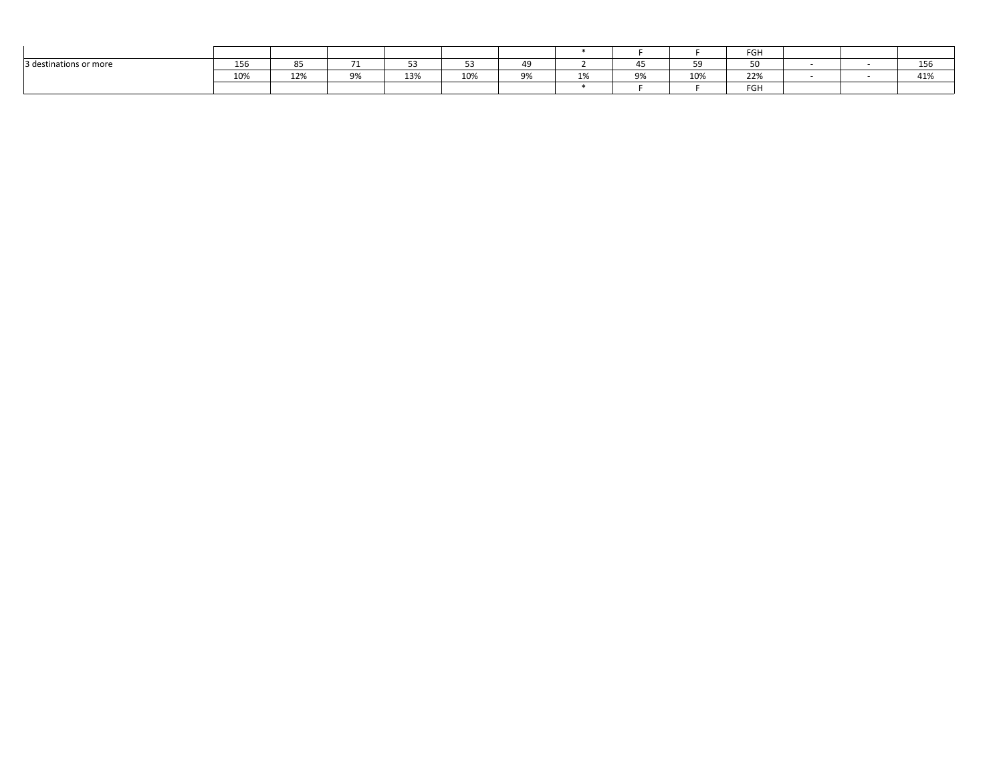|                        |                      |           |               |     |     |    |        |    |               | FGH                  |  |               |
|------------------------|----------------------|-----------|---------------|-----|-----|----|--------|----|---------------|----------------------|--|---------------|
| 3 destinations or more | $\sim$ $\sim$<br>120 | OF.<br>85 | $\rightarrow$ | ັ   | --  | 49 |        |    | $\sim$ $\sim$ | $\sim$ $\sim$<br>JU. |  | $\sim$<br>TOO |
|                        | 10%                  | 12%       | 9%            | 13% | 10% | 9% | $\sim$ | 9% | 10%           | <b>ጋጋ</b> %<br>22/0  |  | AA<br>41%     |
|                        |                      |           |               |     |     |    |        |    |               | FGH                  |  |               |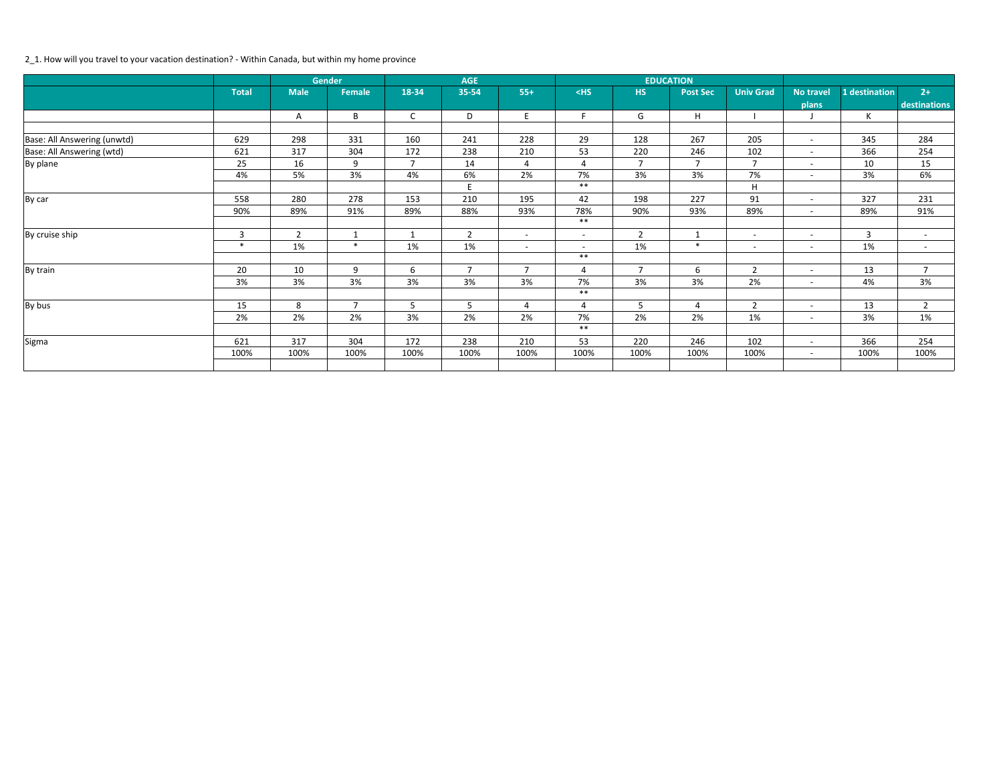### 2\_1. How will you travel to your vacation destination? - Within Canada, but within my home province

|                             |              |                | <b>Gender</b>  |                | <b>AGE</b>     |                |                |                | <b>EDUCATION</b> |                          |                          |                |                |
|-----------------------------|--------------|----------------|----------------|----------------|----------------|----------------|----------------|----------------|------------------|--------------------------|--------------------------|----------------|----------------|
|                             | <b>Total</b> | <b>Male</b>    | Female         | 18-34          | 35-54          | $55+$          | $<$ HS         | <b>HS</b>      | <b>Post Sec</b>  | <b>Univ Grad</b>         | No travel                | 1 destination  | $2+$           |
|                             |              |                |                |                |                |                |                |                |                  |                          | plans                    |                | destinations   |
|                             |              | А              | B              | $\mathsf{C}$   | D              | E              | E.             | G              | H                |                          |                          | $\sf K$        |                |
|                             |              |                |                |                |                |                |                |                |                  |                          |                          |                |                |
| Base: All Answering (unwtd) | 629          | 298            | 331            | 160            | 241            | 228            | 29             | 128            | 267              | 205                      | $\sim$                   | 345            | 284            |
| Base: All Answering (wtd)   | 621          | 317            | 304            | 172            | 238            | 210            | 53             | 220            | 246              | 102                      | $\sim$                   | 366            | 254            |
| By plane                    | 25           | 16             | 9              | $\overline{7}$ | 14             | 4              | 4              | $\overline{7}$ | $\overline{7}$   | $\overline{7}$           | $\sim$                   | 10             | 15             |
|                             | 4%           | 5%             | 3%             | 4%             | 6%             | 2%             | 7%             | 3%             | 3%               | 7%                       | $\overline{a}$           | 3%             | 6%             |
|                             |              |                |                |                | E              |                | $***$          |                |                  | $\mathsf H$              |                          |                |                |
| By car                      | 558          | 280            | 278            | 153            | 210            | 195            | 42             | 198            | 227              | 91                       | $\overline{\phantom{0}}$ | 327            | 231            |
|                             | 90%          | 89%            | 91%            | 89%            | 88%            | 93%            | 78%            | 90%            | 93%              | 89%                      | $\sim$                   | 89%            | 91%            |
|                             |              |                |                |                |                |                | $***$          |                |                  |                          |                          |                |                |
| By cruise ship              | 3            | $\overline{2}$ | $\mathbf 1$    | 1              | $\overline{2}$ | $\sim$         | $\sim$         | $\overline{2}$ |                  | $\overline{\phantom{0}}$ | $\overline{a}$           | $\overline{3}$ | $\sim$         |
|                             | $\ast$       | 1%             | $\ast$         | 1%             | 1%             | $\sim$         | $\overline{a}$ | 1%             | $\ast$           | $\overline{a}$           | $\overline{a}$           | 1%             | $\sim$         |
|                             |              |                |                |                |                |                | $***$          |                |                  |                          |                          |                |                |
| By train                    | 20           | 10             | 9              | 6              | $\overline{7}$ | $\overline{7}$ | 4              | $\overline{7}$ | 6                | $\overline{2}$           | $\overline{\phantom{a}}$ | 13             | $\overline{7}$ |
|                             | 3%           | 3%             | 3%             | 3%             | 3%             | 3%             | 7%             | 3%             | 3%               | 2%                       | $\sim$                   | 4%             | 3%             |
|                             |              |                |                |                |                |                | $***$          |                |                  |                          |                          |                |                |
| By bus                      | 15           | 8              | $\overline{7}$ | 5              | 5              | 4              | 4              | 5              | 4                | $\overline{2}$           | $\overline{a}$           | 13             | $\overline{2}$ |
|                             | 2%           | 2%             | 2%             | 3%             | 2%             | 2%             | 7%             | 2%             | 2%               | 1%                       | $\overline{a}$           | 3%             | 1%             |
|                             |              |                |                |                |                |                | $***$          |                |                  |                          |                          |                |                |
| Sigma                       | 621          | 317            | 304            | 172            | 238            | 210            | 53             | 220            | 246              | 102                      | $\overline{a}$           | 366            | 254            |
|                             | 100%         | 100%           | 100%           | 100%           | 100%           | 100%           | 100%           | 100%           | 100%             | 100%                     | $\overline{a}$           | 100%           | 100%           |
|                             |              |                |                |                |                |                |                |                |                  |                          |                          |                |                |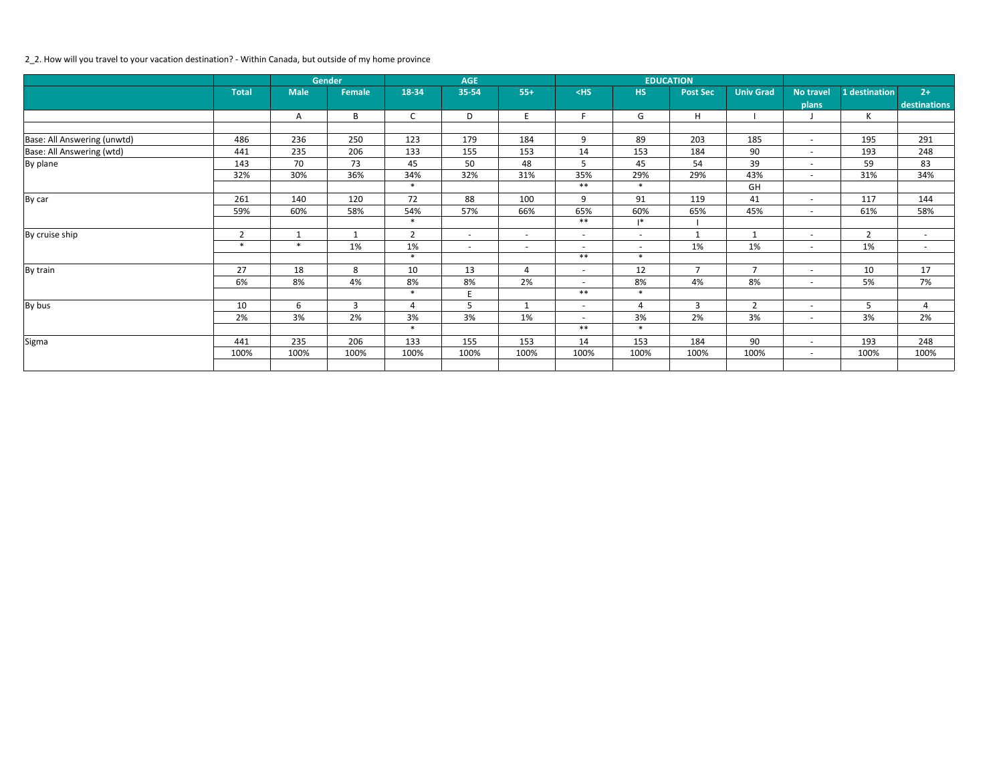### 2\_2. How will you travel to your vacation destination? - Within Canada, but outside of my home province

|                             |                |              | <b>Gender</b>  |                | <b>AGE</b>               |                          |                          |                          | <b>EDUCATION</b> |                  |                          |                |              |
|-----------------------------|----------------|--------------|----------------|----------------|--------------------------|--------------------------|--------------------------|--------------------------|------------------|------------------|--------------------------|----------------|--------------|
|                             | <b>Total</b>   | <b>Male</b>  | Female         | 18-34          | 35-54                    | $55+$                    | $<$ HS                   | <b>HS</b>                | <b>Post Sec</b>  | <b>Univ Grad</b> | <b>No travel</b>         | 1 destination  | $2+$         |
|                             |                |              |                |                |                          |                          |                          |                          |                  |                  | plans                    |                | destinations |
|                             |                | Α            | B              | $\mathsf{C}$   | D                        | E                        | F.                       | G                        | $\mathsf H$      |                  |                          | K              |              |
|                             |                |              |                |                |                          |                          |                          |                          |                  |                  |                          |                |              |
| Base: All Answering (unwtd) | 486            | 236          | 250            | 123            | 179                      | 184                      | 9                        | 89                       | 203              | 185              | $ \,$                    | 195            | 291          |
| Base: All Answering (wtd)   | 441            | 235          | 206            | 133            | 155                      | 153                      | 14                       | 153                      | 184              | 90               | $\overline{\phantom{a}}$ | 193            | 248          |
| By plane                    | 143            | 70           | 73             | 45             | 50                       | 48                       | $5^{\circ}$              | 45                       | 54               | 39               | $\overline{\phantom{a}}$ | 59             | 83           |
|                             | 32%            | 30%          | 36%            | 34%            | 32%                      | 31%                      | 35%                      | 29%                      | 29%              | 43%              | $\overline{\phantom{a}}$ | 31%            | 34%          |
|                             |                |              |                | $\ast$         |                          |                          | $***$                    | $\ast$                   |                  | GH               |                          |                |              |
| By car                      | 261            | 140          | 120            | 72             | 88                       | 100                      | 9                        | 91                       | 119              | 41               | $\overline{\phantom{a}}$ | 117            | 144          |
|                             | 59%            | 60%          | 58%            | 54%            | 57%                      | 66%                      | 65%                      | 60%                      | 65%              | 45%              | $\overline{a}$           | 61%            | 58%          |
|                             |                |              |                | $\ast$         |                          |                          | $***$                    | $\mathsf{I}^*$           |                  |                  |                          |                |              |
| By cruise ship              | $\overline{2}$ | $\mathbf{1}$ | $\mathbf{1}$   | $\overline{2}$ | $\sim$                   | $\sim$                   | $\overline{a}$           | $\overline{\phantom{a}}$ | $\mathbf{1}$     | $\mathbf{1}$     | $\overline{\phantom{a}}$ | $\overline{2}$ | $\sim$       |
|                             | $\ast$         | $\ast$       | 1%             | 1%             | $\overline{\phantom{a}}$ | $\overline{\phantom{0}}$ | $\overline{\phantom{a}}$ | $\overline{\phantom{a}}$ | 1%               | 1%               | $\overline{\phantom{a}}$ | 1%             | $\sim$       |
|                             |                |              |                | $\ast$         |                          |                          | $***$                    | $\ast$                   |                  |                  |                          |                |              |
| By train                    | 27             | 18           | 8              | 10             | 13                       | 4                        | $\sim$                   | 12                       | $\overline{7}$   | $\overline{7}$   | $\overline{\phantom{a}}$ | 10             | 17           |
|                             | 6%             | 8%           | 4%             | 8%             | 8%                       | 2%                       | $\overline{\phantom{a}}$ | 8%                       | 4%               | 8%               | $\overline{\phantom{a}}$ | 5%             | 7%           |
|                             |                |              |                | $\ast$         | F                        |                          | $***$                    | $\ast$                   |                  |                  |                          |                |              |
| By bus                      | 10             | 6            | $\overline{3}$ | $\overline{4}$ | 5                        | $\mathbf{1}$             | $\overline{\phantom{a}}$ | 4                        | 3                | $\overline{2}$   | $\overline{\phantom{a}}$ | 5              | 4            |
|                             | 2%             | 3%           | 2%             | 3%             | 3%                       | 1%                       | $\overline{\phantom{a}}$ | 3%                       | 2%               | 3%               | $\overline{\phantom{a}}$ | 3%             | 2%           |
|                             |                |              |                | $\ast$         |                          |                          | $***$                    | $\ast$                   |                  |                  |                          |                |              |
| Sigma                       | 441            | 235          | 206            | 133            | 155                      | 153                      | 14                       | 153                      | 184              | 90               | $\overline{\phantom{a}}$ | 193            | 248          |
|                             | 100%           | 100%         | 100%           | 100%           | 100%                     | 100%                     | 100%                     | 100%                     | 100%             | 100%             | $\overline{\phantom{a}}$ | 100%           | 100%         |
|                             |                |              |                |                |                          |                          |                          |                          |                  |                  |                          |                |              |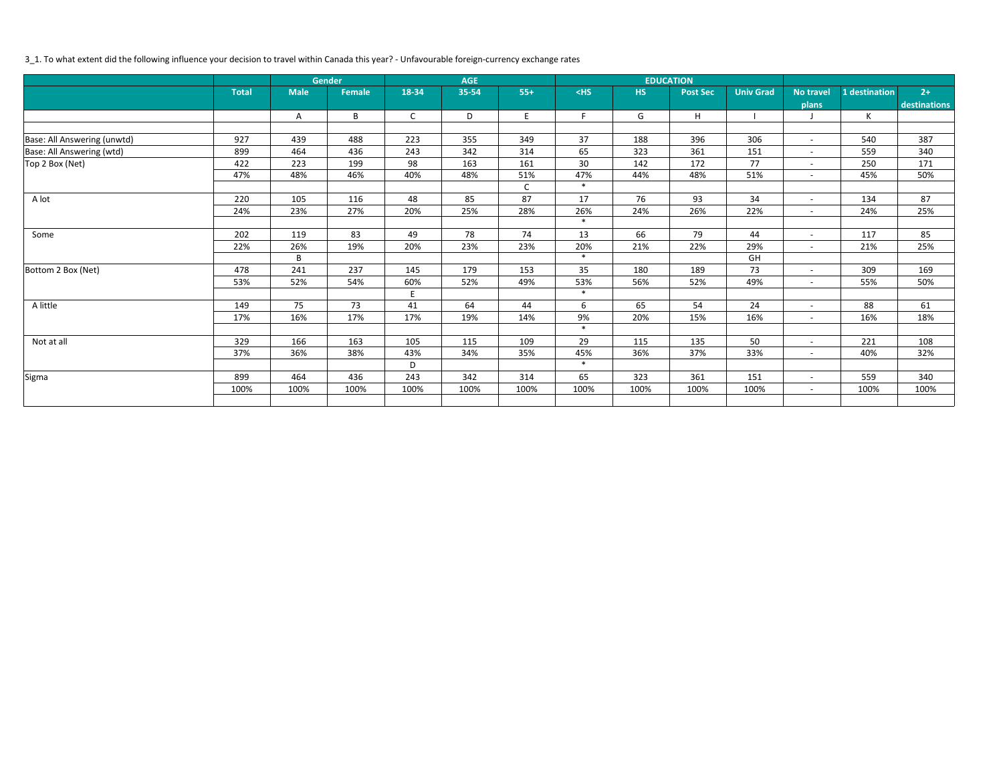# 3\_1. To what extent did the following influence your decision to travel within Canada this year? - Unfavourable foreign-currency exchange rates

|                             |              |             | <b>Gender</b> |              | <b>AGE</b> |              |        |           | <b>EDUCATION</b> |                  |                          |               |              |
|-----------------------------|--------------|-------------|---------------|--------------|------------|--------------|--------|-----------|------------------|------------------|--------------------------|---------------|--------------|
|                             | <b>Total</b> | <b>Male</b> | <b>Female</b> | 18-34        | 35-54      | $55+$        | $<$ HS | <b>HS</b> | <b>Post Sec</b>  | <b>Univ Grad</b> | <b>No travel</b>         | 1 destination | $2+$         |
|                             |              |             |               |              |            |              |        |           |                  |                  | plans                    |               | destinations |
|                             |              | A           | B             | $\mathsf{C}$ | D          | E            | F.     | G         | H                |                  |                          | $\mathsf{K}$  |              |
|                             |              |             |               |              |            |              |        |           |                  |                  |                          |               |              |
| Base: All Answering (unwtd) | 927          | 439         | 488           | 223          | 355        | 349          | 37     | 188       | 396              | 306              | $\overline{\phantom{a}}$ | 540           | 387          |
| Base: All Answering (wtd)   | 899          | 464         | 436           | 243          | 342        | 314          | 65     | 323       | 361              | 151              | $\overline{\phantom{a}}$ | 559           | 340          |
| Top 2 Box (Net)             | 422          | 223         | 199           | 98           | 163        | 161          | 30     | 142       | 172              | 77               | $\sim$                   | 250           | 171          |
|                             | 47%          | 48%         | 46%           | 40%          | 48%        | 51%          | 47%    | 44%       | 48%              | 51%              | $\overline{\phantom{a}}$ | 45%           | 50%          |
|                             |              |             |               |              |            | $\mathsf{C}$ | $\ast$ |           |                  |                  |                          |               |              |
| A lot                       | 220          | 105         | 116           | 48           | 85         | 87           | 17     | 76        | 93               | 34               | $\overline{\phantom{a}}$ | 134           | 87           |
|                             | 24%          | 23%         | 27%           | 20%          | 25%        | 28%          | 26%    | 24%       | 26%              | 22%              | $\overline{\phantom{a}}$ | 24%           | 25%          |
|                             |              |             |               |              |            |              | $\ast$ |           |                  |                  |                          |               |              |
| Some                        | 202          | 119         | 83            | 49           | 78         | 74           | 13     | 66        | 79               | 44               | $\overline{\phantom{a}}$ | 117           | 85           |
|                             | 22%          | 26%         | 19%           | 20%          | 23%        | 23%          | 20%    | 21%       | 22%              | 29%              | $\overline{\phantom{a}}$ | 21%           | 25%          |
|                             |              | B           |               |              |            |              | $\ast$ |           |                  | GH               |                          |               |              |
| Bottom 2 Box (Net)          | 478          | 241         | 237           | 145          | 179        | 153          | 35     | 180       | 189              | 73               | $\overline{\phantom{a}}$ | 309           | 169          |
|                             | 53%          | 52%         | 54%           | 60%          | 52%        | 49%          | 53%    | 56%       | 52%              | 49%              | $\overline{\phantom{a}}$ | 55%           | 50%          |
|                             |              |             |               | E            |            |              | $\ast$ |           |                  |                  |                          |               |              |
| A little                    | 149          | 75          | 73            | 41           | 64         | 44           | 6      | 65        | 54               | 24               | $\overline{\phantom{a}}$ | 88            | 61           |
|                             | 17%          | 16%         | 17%           | 17%          | 19%        | 14%          | 9%     | 20%       | 15%              | 16%              | $\sim$                   | 16%           | 18%          |
|                             |              |             |               |              |            |              | $\ast$ |           |                  |                  |                          |               |              |
| Not at all                  | 329          | 166         | 163           | 105          | 115        | 109          | 29     | 115       | 135              | 50               | $\overline{\phantom{a}}$ | 221           | 108          |
|                             | 37%          | 36%         | 38%           | 43%          | 34%        | 35%          | 45%    | 36%       | 37%              | 33%              | $\overline{a}$           | 40%           | 32%          |
|                             |              |             |               | D            |            |              | $\ast$ |           |                  |                  |                          |               |              |
| Sigma                       | 899          | 464         | 436           | 243          | 342        | 314          | 65     | 323       | 361              | 151              | $\overline{\phantom{a}}$ | 559           | 340          |
|                             | 100%         | 100%        | 100%          | 100%         | 100%       | 100%         | 100%   | 100%      | 100%             | 100%             | $ \,$                    | 100%          | 100%         |
|                             |              |             |               |              |            |              |        |           |                  |                  |                          |               |              |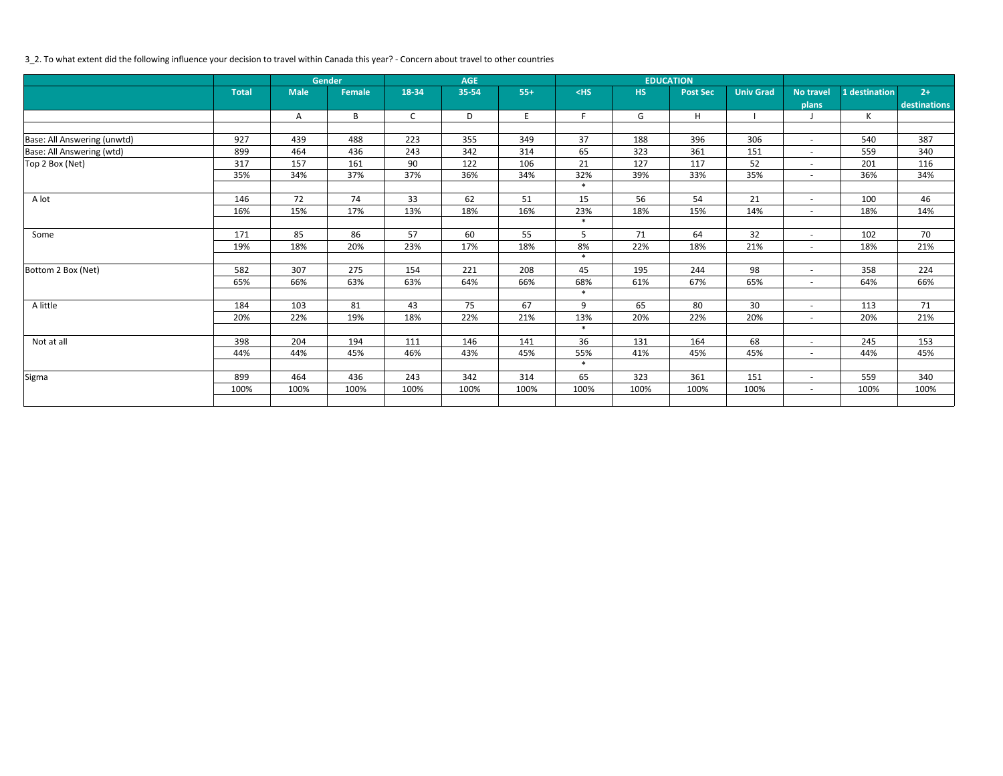# 3\_2. To what extent did the following influence your decision to travel within Canada this year? - Concern about travel to other countries

|                             |              |             | <b>Gender</b> |              | <b>AGE</b> |       |        |           | <b>EDUCATION</b> |                  |                          |               |              |
|-----------------------------|--------------|-------------|---------------|--------------|------------|-------|--------|-----------|------------------|------------------|--------------------------|---------------|--------------|
|                             | <b>Total</b> | <b>Male</b> | <b>Female</b> | 18-34        | 35-54      | $55+$ | $<$ HS | <b>HS</b> | <b>Post Sec</b>  | <b>Univ Grad</b> | <b>No travel</b>         | 1 destination | $2+$         |
|                             |              |             |               |              |            |       |        |           |                  |                  | plans                    |               | destinations |
|                             |              | Α           | B             | $\mathsf{C}$ | D          | E     | F.     | G         | H                |                  |                          | $\mathsf{K}$  |              |
|                             |              |             |               |              |            |       |        |           |                  |                  |                          |               |              |
| Base: All Answering (unwtd) | 927          | 439         | 488           | 223          | 355        | 349   | 37     | 188       | 396              | 306              | $\overline{\phantom{a}}$ | 540           | 387          |
| Base: All Answering (wtd)   | 899          | 464         | 436           | 243          | 342        | 314   | 65     | 323       | 361              | 151              | $\overline{\phantom{a}}$ | 559           | 340          |
| Top 2 Box (Net)             | 317          | 157         | 161           | 90           | 122        | 106   | 21     | 127       | 117              | 52               | $\sim$                   | 201           | 116          |
|                             | 35%          | 34%         | 37%           | 37%          | 36%        | 34%   | 32%    | 39%       | 33%              | 35%              | $\overline{\phantom{a}}$ | 36%           | 34%          |
|                             |              |             |               |              |            |       | $\ast$ |           |                  |                  |                          |               |              |
| A lot                       | 146          | 72          | 74            | 33           | 62         | 51    | 15     | 56        | 54               | 21               | $\overline{\phantom{a}}$ | 100           | 46           |
|                             | 16%          | 15%         | 17%           | 13%          | 18%        | 16%   | 23%    | 18%       | 15%              | 14%              | $\overline{a}$           | 18%           | 14%          |
|                             |              |             |               |              |            |       | $\ast$ |           |                  |                  |                          |               |              |
| Some                        | 171          | 85          | 86            | 57           | 60         | 55    | 5      | 71        | 64               | 32               | $\overline{\phantom{a}}$ | 102           | 70           |
|                             | 19%          | 18%         | 20%           | 23%          | 17%        | 18%   | 8%     | 22%       | 18%              | 21%              | $\overline{a}$           | 18%           | 21%          |
|                             |              |             |               |              |            |       | $\ast$ |           |                  |                  |                          |               |              |
| Bottom 2 Box (Net)          | 582          | 307         | 275           | 154          | 221        | 208   | 45     | 195       | 244              | 98               | $\overline{\phantom{a}}$ | 358           | 224          |
|                             | 65%          | 66%         | 63%           | 63%          | 64%        | 66%   | 68%    | 61%       | 67%              | 65%              | $\overline{\phantom{a}}$ | 64%           | 66%          |
|                             |              |             |               |              |            |       | $\ast$ |           |                  |                  |                          |               |              |
| A little                    | 184          | 103         | 81            | 43           | 75         | 67    | 9      | 65        | 80               | 30               | $\overline{\phantom{a}}$ | 113           | 71           |
|                             | 20%          | 22%         | 19%           | 18%          | 22%        | 21%   | 13%    | 20%       | 22%              | 20%              | $\overline{a}$           | 20%           | 21%          |
|                             |              |             |               |              |            |       | $\ast$ |           |                  |                  |                          |               |              |
| Not at all                  | 398          | 204         | 194           | 111          | 146        | 141   | 36     | 131       | 164              | 68               | $\overline{a}$           | 245           | 153          |
|                             | 44%          | 44%         | 45%           | 46%          | 43%        | 45%   | 55%    | 41%       | 45%              | 45%              | $\sim$                   | 44%           | 45%          |
|                             |              |             |               |              |            |       | $\ast$ |           |                  |                  |                          |               |              |
| Sigma                       | 899          | 464         | 436           | 243          | 342        | 314   | 65     | 323       | 361              | 151              | $\overline{a}$           | 559           | 340          |
|                             | 100%         | 100%        | 100%          | 100%         | 100%       | 100%  | 100%   | 100%      | 100%             | 100%             | $\sim$                   | 100%          | 100%         |
|                             |              |             |               |              |            |       |        |           |                  |                  |                          |               |              |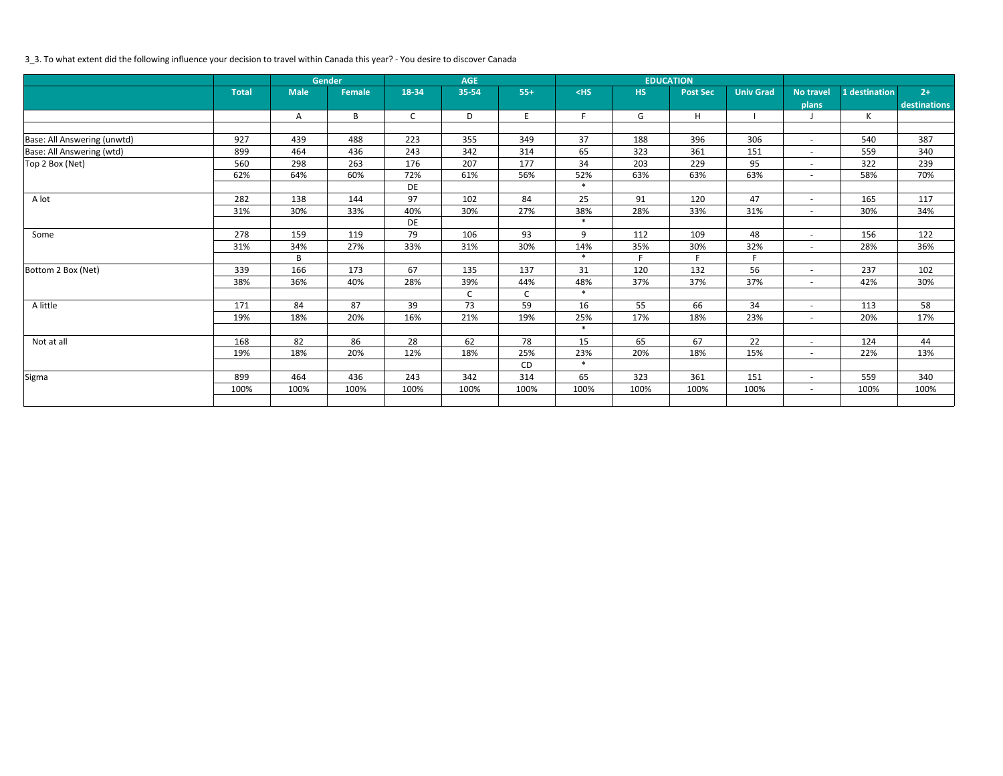# 3\_3. To what extent did the following influence your decision to travel within Canada this year? - You desire to discover Canada

|                             |              |             | Gender        |              | <b>AGE</b> |       |        |      | <b>EDUCATION</b> |                  |                          |               |              |
|-----------------------------|--------------|-------------|---------------|--------------|------------|-------|--------|------|------------------|------------------|--------------------------|---------------|--------------|
|                             | <b>Total</b> | <b>Male</b> | <b>Female</b> | 18-34        | 35-54      | $55+$ | $<$ HS | HS   | <b>Post Sec</b>  | <b>Univ Grad</b> | <b>No travel</b>         | 1 destination | $2+$         |
|                             |              |             |               |              |            |       |        |      |                  |                  | plans                    |               | destinations |
|                             |              | Α           | $\sf B$       | $\mathsf{C}$ | D          | E     | F.     | G    | H                |                  |                          | K             |              |
|                             |              |             |               |              |            |       |        |      |                  |                  |                          |               |              |
| Base: All Answering (unwtd) | 927          | 439         | 488           | 223          | 355        | 349   | 37     | 188  | 396              | 306              | $\overline{\phantom{a}}$ | 540           | 387          |
| Base: All Answering (wtd)   | 899          | 464         | 436           | 243          | 342        | 314   | 65     | 323  | 361              | 151              | $\overline{\phantom{a}}$ | 559           | 340          |
| Top 2 Box (Net)             | 560          | 298         | 263           | 176          | 207        | 177   | 34     | 203  | 229              | 95               | $\sim$                   | 322           | 239          |
|                             | 62%          | 64%         | 60%           | 72%          | 61%        | 56%   | 52%    | 63%  | 63%              | 63%              | $\overline{\phantom{a}}$ | 58%           | 70%          |
|                             |              |             |               | DE           |            |       | $\ast$ |      |                  |                  |                          |               |              |
| A lot                       | 282          | 138         | 144           | 97           | 102        | 84    | 25     | 91   | 120              | 47               | $\overline{\phantom{a}}$ | 165           | 117          |
|                             | 31%          | 30%         | 33%           | 40%          | 30%        | 27%   | 38%    | 28%  | 33%              | 31%              | $\overline{\phantom{a}}$ | 30%           | 34%          |
|                             |              |             |               | DE           |            |       | $\ast$ |      |                  |                  |                          |               |              |
| Some                        | 278          | 159         | 119           | 79           | 106        | 93    | 9      | 112  | 109              | 48               | $\overline{\phantom{a}}$ | 156           | 122          |
|                             | 31%          | 34%         | 27%           | 33%          | 31%        | 30%   | 14%    | 35%  | 30%              | 32%              | $\overline{\phantom{a}}$ | 28%           | 36%          |
|                             |              | B           |               |              |            |       | $\ast$ | F.   | F.               | F                |                          |               |              |
| Bottom 2 Box (Net)          | 339          | 166         | 173           | 67           | 135        | 137   | 31     | 120  | 132              | 56               | $\overline{\phantom{a}}$ | 237           | 102          |
|                             | 38%          | 36%         | 40%           | 28%          | 39%        | 44%   | 48%    | 37%  | 37%              | 37%              | $\overline{\phantom{a}}$ | 42%           | 30%          |
|                             |              |             |               |              | C          | C     | $\ast$ |      |                  |                  |                          |               |              |
| A little                    | 171          | 84          | 87            | 39           | 73         | 59    | 16     | 55   | 66               | 34               | $\overline{\phantom{a}}$ | 113           | 58           |
|                             | 19%          | 18%         | 20%           | 16%          | 21%        | 19%   | 25%    | 17%  | 18%              | 23%              | $ \,$                    | 20%           | 17%          |
|                             |              |             |               |              |            |       | $\ast$ |      |                  |                  |                          |               |              |
| Not at all                  | 168          | 82          | 86            | 28           | 62         | 78    | 15     | 65   | 67               | 22               | $\overline{\phantom{a}}$ | 124           | 44           |
|                             | 19%          | 18%         | 20%           | 12%          | 18%        | 25%   | 23%    | 20%  | 18%              | 15%              | $\overline{a}$           | 22%           | 13%          |
|                             |              |             |               |              |            | CD    | $\ast$ |      |                  |                  |                          |               |              |
| Sigma                       | 899          | 464         | 436           | 243          | 342        | 314   | 65     | 323  | 361              | 151              | $\overline{\phantom{a}}$ | 559           | 340          |
|                             | 100%         | 100%        | 100%          | 100%         | 100%       | 100%  | 100%   | 100% | 100%             | 100%             | $ \,$                    | 100%          | 100%         |
|                             |              |             |               |              |            |       |        |      |                  |                  |                          |               |              |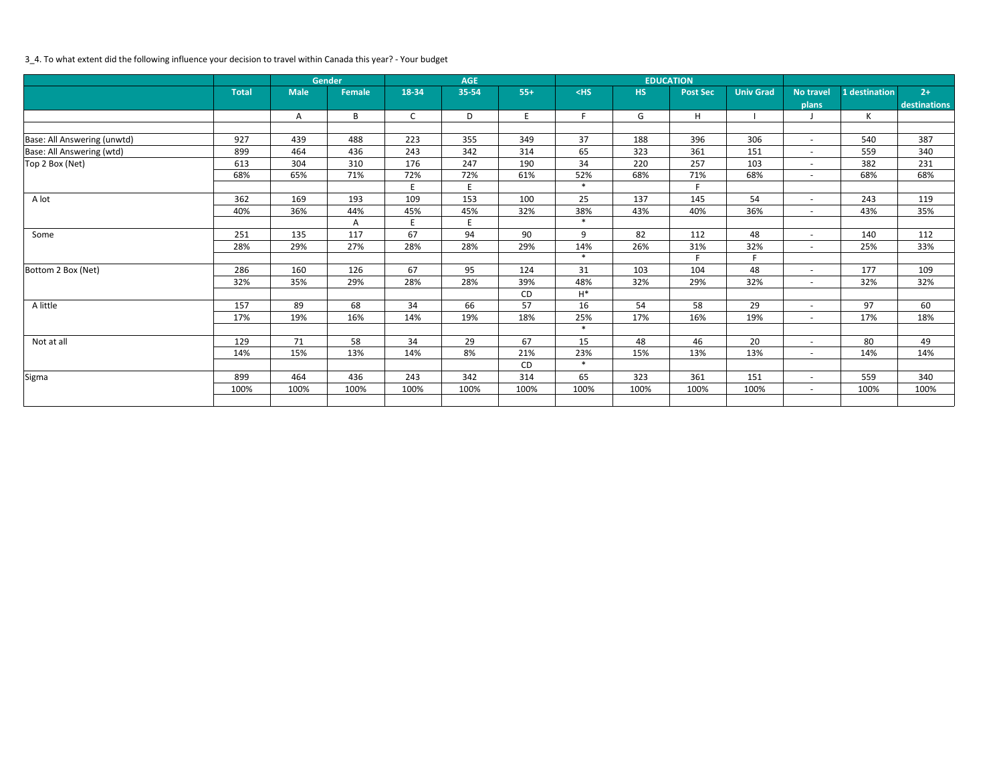# 3\_4. To what extent did the following influence your decision to travel within Canada this year? - Your budget

|                             |              |             | <b>Gender</b> |              | <b>AGE</b> |       |        |           | <b>EDUCATION</b> |                  |                          |               |              |
|-----------------------------|--------------|-------------|---------------|--------------|------------|-------|--------|-----------|------------------|------------------|--------------------------|---------------|--------------|
|                             | <b>Total</b> | <b>Male</b> | <b>Female</b> | 18-34        | 35-54      | $55+$ | $<$ HS | <b>HS</b> | <b>Post Sec</b>  | <b>Univ Grad</b> | <b>No travel</b>         | 1 destination | $2+$         |
|                             |              |             |               |              |            |       |        |           |                  |                  | plans                    |               | destinations |
|                             |              | Α           | B             | $\mathsf{C}$ | D          | E     | F.     | G         | H                |                  |                          | $\mathsf{K}$  |              |
|                             |              |             |               |              |            |       |        |           |                  |                  |                          |               |              |
| Base: All Answering (unwtd) | 927          | 439         | 488           | 223          | 355        | 349   | 37     | 188       | 396              | 306              | $\overline{\phantom{a}}$ | 540           | 387          |
| Base: All Answering (wtd)   | 899          | 464         | 436           | 243          | 342        | 314   | 65     | 323       | 361              | 151              | $\overline{\phantom{a}}$ | 559           | 340          |
| Top 2 Box (Net)             | 613          | 304         | 310           | 176          | 247        | 190   | 34     | 220       | 257              | 103              | $\overline{\phantom{a}}$ | 382           | 231          |
|                             | 68%          | 65%         | 71%           | 72%          | 72%        | 61%   | 52%    | 68%       | 71%              | 68%              | $\overline{\phantom{a}}$ | 68%           | 68%          |
|                             |              |             |               | E            | E          |       | $\ast$ |           | F.               |                  |                          |               |              |
| A lot                       | 362          | 169         | 193           | 109          | 153        | 100   | 25     | 137       | 145              | 54               | $\overline{\phantom{a}}$ | 243           | 119          |
|                             | 40%          | 36%         | 44%           | 45%          | 45%        | 32%   | 38%    | 43%       | 40%              | 36%              | $\overline{a}$           | 43%           | 35%          |
|                             |              |             | Α             | E            | E          |       | $\ast$ |           |                  |                  |                          |               |              |
| Some                        | 251          | 135         | 117           | 67           | 94         | 90    | 9      | 82        | 112              | 48               | $\overline{\phantom{a}}$ | 140           | 112          |
|                             | 28%          | 29%         | 27%           | 28%          | 28%        | 29%   | 14%    | 26%       | 31%              | 32%              | $\overline{a}$           | 25%           | 33%          |
|                             |              |             |               |              |            |       | $\ast$ |           | F.               | F                |                          |               |              |
| Bottom 2 Box (Net)          | 286          | 160         | 126           | 67           | 95         | 124   | 31     | 103       | 104              | 48               | $\overline{\phantom{a}}$ | 177           | 109          |
|                             | 32%          | 35%         | 29%           | 28%          | 28%        | 39%   | 48%    | 32%       | 29%              | 32%              | $\overline{a}$           | 32%           | 32%          |
|                             |              |             |               |              |            | CD    | $H^*$  |           |                  |                  |                          |               |              |
| A little                    | 157          | 89          | 68            | 34           | 66         | 57    | 16     | 54        | 58               | 29               | $\overline{\phantom{a}}$ | 97            | 60           |
|                             | 17%          | 19%         | 16%           | 14%          | 19%        | 18%   | 25%    | 17%       | 16%              | 19%              | $\overline{a}$           | 17%           | 18%          |
|                             |              |             |               |              |            |       | $\ast$ |           |                  |                  |                          |               |              |
| Not at all                  | 129          | 71          | 58            | 34           | 29         | 67    | 15     | 48        | 46               | 20               | $\overline{a}$           | 80            | 49           |
|                             | 14%          | 15%         | 13%           | 14%          | 8%         | 21%   | 23%    | 15%       | 13%              | 13%              | $\sim$                   | 14%           | 14%          |
|                             |              |             |               |              |            | CD    | $\ast$ |           |                  |                  |                          |               |              |
| Sigma                       | 899          | 464         | 436           | 243          | 342        | 314   | 65     | 323       | 361              | 151              | $\overline{a}$           | 559           | 340          |
|                             | 100%         | 100%        | 100%          | 100%         | 100%       | 100%  | 100%   | 100%      | 100%             | 100%             | $-$                      | 100%          | 100%         |
|                             |              |             |               |              |            |       |        |           |                  |                  |                          |               |              |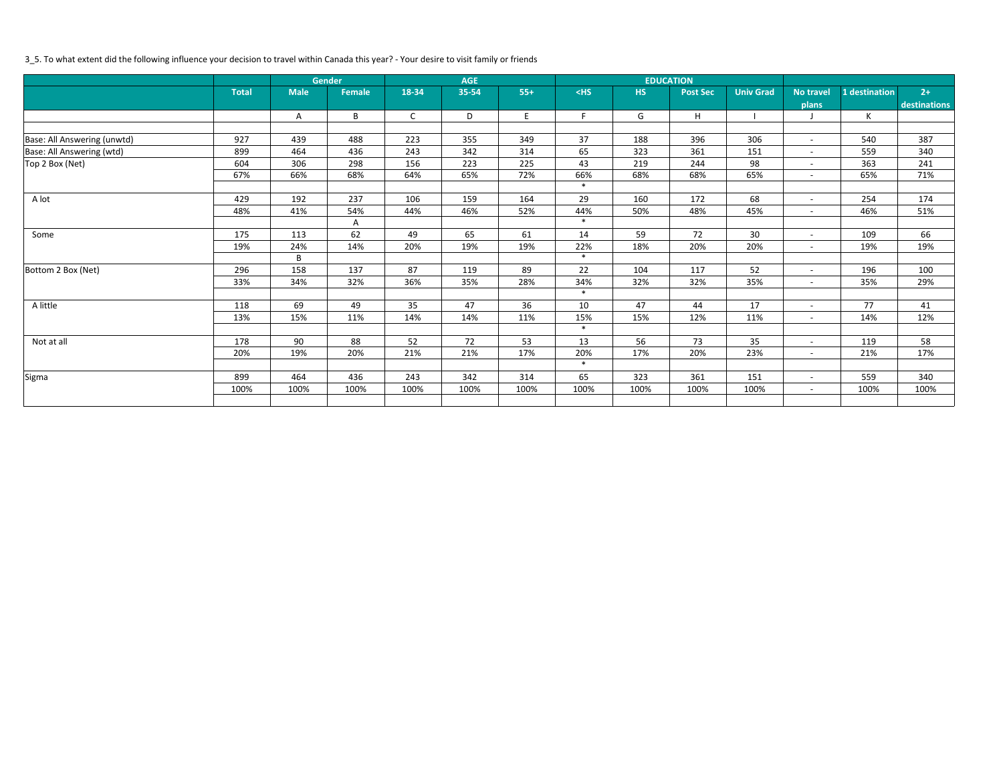# 3\_5. To what extent did the following influence your decision to travel within Canada this year? - Your desire to visit family or friends

|                             |              |             | <b>Gender</b> |              | <b>AGE</b> |       |        |      | <b>EDUCATION</b> |                  |                          |               |              |
|-----------------------------|--------------|-------------|---------------|--------------|------------|-------|--------|------|------------------|------------------|--------------------------|---------------|--------------|
|                             | <b>Total</b> | <b>Male</b> | <b>Female</b> | 18-34        | 35-54      | $55+$ | $<$ HS | HS   | <b>Post Sec</b>  | <b>Univ Grad</b> | <b>No travel</b>         | 1 destination | $2+$         |
|                             |              |             |               |              |            |       |        |      |                  |                  | plans                    |               | destinations |
|                             |              | Α           | B             | $\mathsf{C}$ | D          | E     | F.     | G    | H                |                  |                          | K             |              |
|                             |              |             |               |              |            |       |        |      |                  |                  |                          |               |              |
| Base: All Answering (unwtd) | 927          | 439         | 488           | 223          | 355        | 349   | 37     | 188  | 396              | 306              | $\overline{\phantom{a}}$ | 540           | 387          |
| Base: All Answering (wtd)   | 899          | 464         | 436           | 243          | 342        | 314   | 65     | 323  | 361              | 151              | $\overline{\phantom{a}}$ | 559           | 340          |
| Top 2 Box (Net)             | 604          | 306         | 298           | 156          | 223        | 225   | 43     | 219  | 244              | 98               | $\sim$                   | 363           | 241          |
|                             | 67%          | 66%         | 68%           | 64%          | 65%        | 72%   | 66%    | 68%  | 68%              | 65%              | $\overline{\phantom{a}}$ | 65%           | 71%          |
|                             |              |             |               |              |            |       | $\ast$ |      |                  |                  |                          |               |              |
| A lot                       | 429          | 192         | 237           | 106          | 159        | 164   | 29     | 160  | 172              | 68               | $\overline{\phantom{a}}$ | 254           | 174          |
|                             | 48%          | 41%         | 54%           | 44%          | 46%        | 52%   | 44%    | 50%  | 48%              | 45%              | $\overline{\phantom{a}}$ | 46%           | 51%          |
|                             |              |             | Α             |              |            |       | $\ast$ |      |                  |                  |                          |               |              |
| Some                        | 175          | 113         | 62            | 49           | 65         | 61    | 14     | 59   | 72               | 30               | $\overline{\phantom{a}}$ | 109           | 66           |
|                             | 19%          | 24%         | 14%           | 20%          | 19%        | 19%   | 22%    | 18%  | 20%              | 20%              | $\overline{a}$           | 19%           | 19%          |
|                             |              | B           |               |              |            |       | $\ast$ |      |                  |                  |                          |               |              |
| Bottom 2 Box (Net)          | 296          | 158         | 137           | 87           | 119        | 89    | 22     | 104  | 117              | 52               | $\overline{\phantom{a}}$ | 196           | 100          |
|                             | 33%          | 34%         | 32%           | 36%          | 35%        | 28%   | 34%    | 32%  | 32%              | 35%              | $\overline{\phantom{a}}$ | 35%           | 29%          |
|                             |              |             |               |              |            |       | $\ast$ |      |                  |                  |                          |               |              |
| A little                    | 118          | 69          | 49            | 35           | 47         | 36    | 10     | 47   | 44               | 17               | $\overline{\phantom{a}}$ | 77            | 41           |
|                             | 13%          | 15%         | 11%           | 14%          | 14%        | 11%   | 15%    | 15%  | 12%              | 11%              | $ \,$                    | 14%           | 12%          |
|                             |              |             |               |              |            |       | $\ast$ |      |                  |                  |                          |               |              |
| Not at all                  | 178          | 90          | 88            | 52           | 72         | 53    | 13     | 56   | 73               | 35               | $\overline{\phantom{a}}$ | 119           | 58           |
|                             | 20%          | 19%         | 20%           | 21%          | 21%        | 17%   | 20%    | 17%  | 20%              | 23%              | $\overline{a}$           | 21%           | 17%          |
|                             |              |             |               |              |            |       | $\ast$ |      |                  |                  |                          |               |              |
| Sigma                       | 899          | 464         | 436           | 243          | 342        | 314   | 65     | 323  | 361              | 151              | $\overline{\phantom{a}}$ | 559           | 340          |
|                             | 100%         | 100%        | 100%          | 100%         | 100%       | 100%  | 100%   | 100% | 100%             | 100%             | $ \,$                    | 100%          | 100%         |
|                             |              |             |               |              |            |       |        |      |                  |                  |                          |               |              |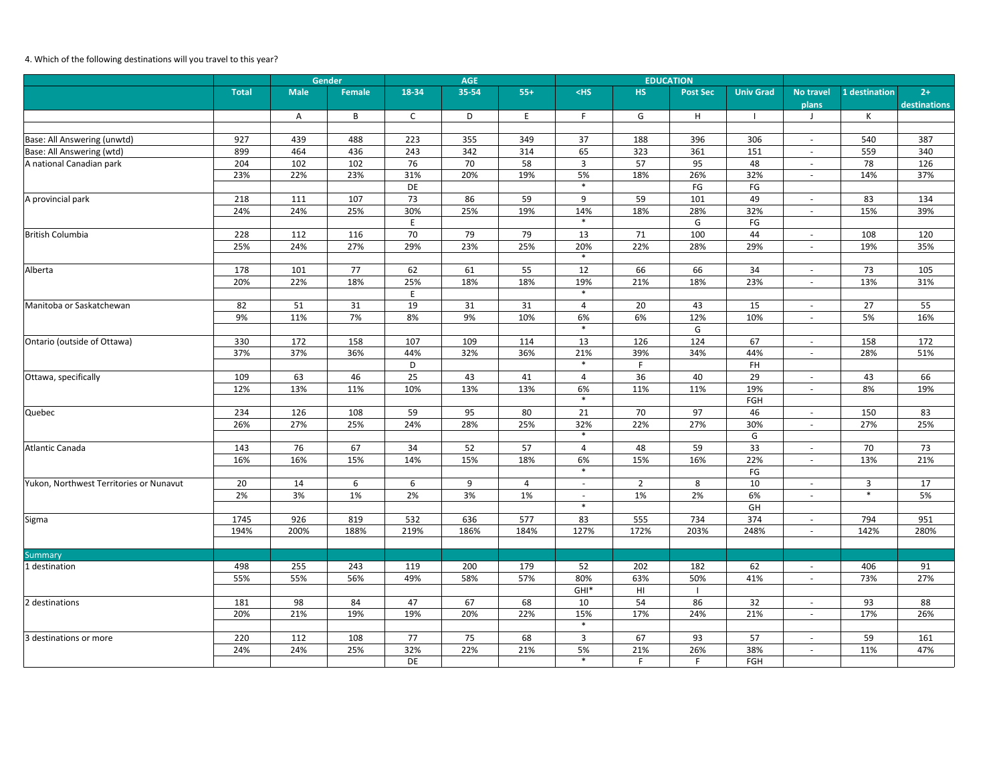# 4. Which of the following destinations will you travel to this year?

|                                         |              |             | <b>Gender</b>    |              | <b>AGE</b> |       |                          |                | <b>EDUCATION</b> |                  |                          |                |                      |
|-----------------------------------------|--------------|-------------|------------------|--------------|------------|-------|--------------------------|----------------|------------------|------------------|--------------------------|----------------|----------------------|
|                                         | <b>Total</b> | <b>Male</b> | <b>Female</b>    | 18-34        | 35-54      | $55+$ | $<$ HS                   | <b>HS</b>      | <b>Post Sec</b>  | <b>Univ Grad</b> | No travel<br>plans       | 1 destination  | $2+$<br>destinations |
|                                         |              | Α           | B                | $\mathsf{C}$ | D          | E     | F                        | G              | H                | $\mathbf{I}$     | $\perp$                  | К              |                      |
|                                         |              |             |                  |              |            |       |                          |                |                  |                  |                          |                |                      |
| Base: All Answering (unwtd)             | 927          | 439         | 488              | 223          | 355        | 349   | 37                       | 188            | 396              | 306              | $\sim$                   | 540            | 387                  |
| Base: All Answering (wtd)               | 899          | 464         | 436              | 243          | 342        | 314   | 65                       | 323            | 361              | 151              | $\sim$                   | 559            | 340                  |
| A national Canadian park                | 204          | 102         | 102              | 76           | 70         | 58    | $\mathbf{3}$             | 57             | 95               | 48               | $\overline{\phantom{a}}$ | 78             | 126                  |
|                                         | 23%          | 22%         | 23%              | 31%          | 20%        | 19%   | 5%                       | 18%            | 26%              | 32%              | $\overline{\phantom{a}}$ | 14%            | 37%                  |
|                                         |              |             |                  | DE           |            |       | $\ast$                   |                | $\mathsf{FG}$    | $\mathsf{FG}$    |                          |                |                      |
| A provincial park                       | 218          | 111         | 107              | 73           | 86         | 59    | 9                        | 59             | 101              | 49               | $\overline{\phantom{a}}$ | 83             | 134                  |
|                                         | 24%          | 24%         | 25%              | 30%          | 25%        | 19%   | 14%                      | 18%            | 28%              | 32%              | $\overline{\phantom{0}}$ | 15%            | 39%                  |
|                                         |              |             |                  | E            |            |       | $\ast$                   |                | G                | $\mathsf{FG}$    |                          |                |                      |
| British Columbia                        | 228          | 112         | 116              | 70           | 79         | 79    | 13                       | 71             | 100              | 44               | $\overline{\phantom{a}}$ | 108            | 120                  |
|                                         | 25%          | 24%         | 27%              | 29%          | 23%        | 25%   | 20%                      | 22%            | 28%              | 29%              | $\overline{\phantom{a}}$ | 19%            | 35%                  |
|                                         |              |             |                  |              |            |       | $\ast$                   |                |                  |                  |                          |                |                      |
| Alberta                                 | 178          | 101         | 77               | 62           | 61         | 55    | 12                       | 66             | 66               | 34               | $\overline{\phantom{0}}$ | 73             | 105                  |
|                                         | 20%          | 22%         | 18%              | 25%          | 18%        | 18%   | 19%                      | 21%            | 18%              | 23%              | $\overline{\phantom{a}}$ | 13%            | 31%                  |
|                                         |              |             |                  | E            |            |       | $\ast$                   |                |                  |                  |                          |                |                      |
| Manitoba or Saskatchewan                | 82           | 51          | 31               | 19           | 31         | 31    | 4                        | 20             | 43               | 15               | $\sim$                   | 27             | 55                   |
|                                         | 9%           | 11%         | 7%               | 8%           | 9%         | 10%   | 6%                       | 6%             | 12%              | 10%              | $\overline{\phantom{a}}$ | 5%             | 16%                  |
|                                         |              |             |                  |              |            |       | $\ast$                   |                | G                |                  |                          |                |                      |
| Ontario (outside of Ottawa)             | 330          | 172         | 158              | 107          | 109        | 114   | 13                       | 126            | 124              | 67               | $\overline{\phantom{a}}$ | 158            | 172                  |
|                                         | 37%          | 37%         | 36%              | 44%          | 32%        | 36%   | 21%                      | 39%            | 34%              | 44%              | $\sim$                   | 28%            | 51%                  |
|                                         |              |             |                  | D            |            |       | $\ast$                   | F              |                  | <b>FH</b>        |                          |                |                      |
| Ottawa, specifically                    | 109          | 63          | 46               | 25           | 43         | 41    | 4                        | 36             | 40               | 29               | $\overline{\phantom{a}}$ | 43             | 66                   |
|                                         | 12%          | 13%         | 11%              | 10%          | 13%        | 13%   | 6%                       | 11%            | 11%              | 19%              | $\sim$                   | 8%             | 19%                  |
|                                         |              |             |                  |              |            |       | $\ast$                   |                |                  | FGH              |                          |                |                      |
| Quebec                                  | 234          | 126         | 108              | 59           | 95         | 80    | 21                       | 70             | 97               | 46               | $\overline{\phantom{a}}$ | 150            | 83                   |
|                                         | 26%          | 27%         | 25%              | 24%          | 28%        | 25%   | 32%                      | 22%            | 27%              | 30%              | $\overline{\phantom{a}}$ | 27%            | 25%                  |
|                                         |              |             |                  |              |            |       | $\ast$                   |                |                  | G                |                          |                |                      |
| Atlantic Canada                         | 143          | 76          | 67               | 34           | 52         | 57    | $\overline{4}$           | 48             | 59               | 33               | $\overline{a}$           | 70             | 73                   |
|                                         | 16%          | 16%         | 15%              | 14%          | 15%        | 18%   | 6%                       | 15%            | 16%              | 22%              | $\overline{\phantom{a}}$ | 13%            | 21%                  |
|                                         |              |             |                  |              |            |       | $\ast$                   |                |                  | $\mathsf{FG}$    |                          |                |                      |
| Yukon, Northwest Territories or Nunavut | 20           | 14          | $\boldsymbol{6}$ | 6            | 9          | 4     | $\overline{\phantom{a}}$ | $\overline{2}$ | 8                | 10               | $\overline{\phantom{a}}$ | $\overline{3}$ | 17                   |
|                                         | 2%           | 3%          | 1%               | 2%           | 3%         | 1%    |                          | 1%             | 2%               | 6%               | $\overline{\phantom{a}}$ | $\ast$         | 5%                   |
|                                         |              |             |                  |              |            |       |                          |                |                  | GH               |                          |                |                      |
| Sigma                                   | 1745         | 926         | 819              | 532          | 636        | 577   | 83                       | 555            | 734              | 374              | $\sim$                   | 794            | 951                  |
|                                         | 194%         | 200%        | 188%             | 219%         | 186%       | 184%  | 127%                     | 172%           | 203%             | 248%             | $\sim$                   | 142%           | 280%                 |
|                                         |              |             |                  |              |            |       |                          |                |                  |                  |                          |                |                      |
| Summary                                 |              |             |                  |              |            |       |                          |                |                  |                  |                          |                |                      |
| 1 destination                           | 498          | 255         | 243              | 119          | 200        | 179   | 52                       | 202            | 182              | 62               | $\sim$                   | 406            | 91                   |
|                                         | 55%          | 55%         | 56%              | 49%          | 58%        | 57%   | 80%                      | 63%            | 50%              | 41%              | $\sim$                   | 73%            | 27%                  |
|                                         |              |             |                  |              |            |       | $GHI^*$                  | HI             |                  |                  |                          |                |                      |
| 2 destinations                          | 181          | 98          | 84               | 47           | 67         | 68    | 10                       | 54             | 86               | 32               | $\sim$                   | 93             | 88                   |
|                                         | 20%          | 21%         | 19%              | 19%          | 20%        | 22%   | 15%                      | 17%            | 24%              | 21%              | $\sim$                   | 17%            | 26%                  |
|                                         |              |             |                  |              |            |       | $\ast$                   |                |                  |                  |                          |                |                      |
| 3 destinations or more                  | 220          | 112         | 108              | 77           | 75         | 68    | $\overline{3}$           | 67             | 93               | 57               | $\sim$                   | 59             | 161                  |
|                                         | 24%          | 24%         | 25%              | 32%          | 22%        | 21%   | 5%                       | 21%            | 26%              | 38%              | $\sim$                   | 11%            | 47%                  |
|                                         |              |             |                  | DE           |            |       | $\ast$                   | F              | F.               | FGH              |                          |                |                      |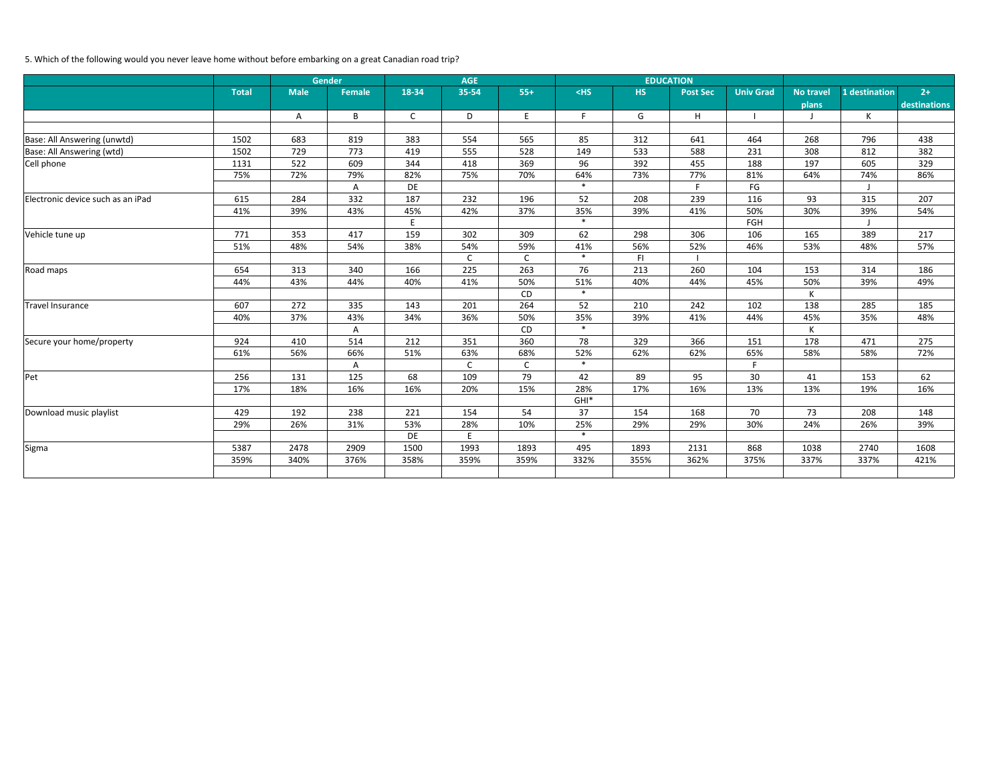# 5. Which of the following would you never leave home without before embarking on a great Canadian road trip?

|                                   |              |             | <b>Gender</b> |              | <b>AGE</b>  |             |        |           | <b>EDUCATION</b> |                  |                  |               |              |
|-----------------------------------|--------------|-------------|---------------|--------------|-------------|-------------|--------|-----------|------------------|------------------|------------------|---------------|--------------|
|                                   | <b>Total</b> | <b>Male</b> | <b>Female</b> | 18-34        | 35-54       | $55+$       | $<$ HS | <b>HS</b> | <b>Post Sec</b>  | <b>Univ Grad</b> | <b>No travel</b> | 1 destination | $2+$         |
|                                   |              |             |               |              |             |             |        |           |                  |                  | plans            |               | destinations |
|                                   |              | Α           | B             | $\mathsf{C}$ | D           | E           | F.     | G         | H.               |                  | $\mathbf{I}$     | К             |              |
|                                   |              |             |               |              |             |             |        |           |                  |                  |                  |               |              |
| Base: All Answering (unwtd)       | 1502         | 683         | 819           | 383          | 554         | 565         | 85     | 312       | 641              | 464              | 268              | 796           | 438          |
| Base: All Answering (wtd)         | 1502         | 729         | 773           | 419          | 555         | 528         | 149    | 533       | 588              | 231              | 308              | 812           | 382          |
| Cell phone                        | 1131         | 522         | 609           | 344          | 418         | 369         | 96     | 392       | 455              | 188              | 197              | 605           | 329          |
|                                   | 75%          | 72%         | 79%           | 82%          | 75%         | 70%         | 64%    | 73%       | 77%              | 81%              | 64%              | 74%           | 86%          |
|                                   |              |             | Α             | DE           |             |             | $\ast$ |           | F.               | FG               |                  |               |              |
| Electronic device such as an iPad | 615          | 284         | 332           | 187          | 232         | 196         | 52     | 208       | 239              | 116              | 93               | 315           | 207          |
|                                   | 41%          | 39%         | 43%           | 45%          | 42%         | 37%         | 35%    | 39%       | 41%              | 50%              | 30%              | 39%           | 54%          |
|                                   |              |             |               | E            |             |             | $\ast$ |           |                  | FGH              |                  |               |              |
| Vehicle tune up                   | 771          | 353         | 417           | 159          | 302         | 309         | 62     | 298       | 306              | 106              | 165              | 389           | 217          |
|                                   | 51%          | 48%         | 54%           | 38%          | 54%         | 59%         | 41%    | 56%       | 52%              | 46%              | 53%              | 48%           | 57%          |
|                                   |              |             |               |              | $\mathsf C$ | $\mathsf C$ | $\ast$ | F1        |                  |                  |                  |               |              |
| Road maps                         | 654          | 313         | 340           | 166          | 225         | 263         | 76     | 213       | 260              | 104              | 153              | 314           | 186          |
|                                   | 44%          | 43%         | 44%           | 40%          | 41%         | 50%         | 51%    | 40%       | 44%              | 45%              | 50%              | 39%           | 49%          |
|                                   |              |             |               |              |             | CD          | $\ast$ |           |                  |                  | К                |               |              |
| Travel Insurance                  | 607          | 272         | 335           | 143          | 201         | 264         | 52     | 210       | 242              | 102              | 138              | 285           | 185          |
|                                   | 40%          | 37%         | 43%           | 34%          | 36%         | 50%         | 35%    | 39%       | 41%              | 44%              | 45%              | 35%           | 48%          |
|                                   |              |             | A             |              |             | CD          | $\ast$ |           |                  |                  | K                |               |              |
| Secure your home/property         | 924          | 410         | 514           | 212          | 351         | 360         | 78     | 329       | 366              | 151              | 178              | 471           | 275          |
|                                   | 61%          | 56%         | 66%           | 51%          | 63%         | 68%         | 52%    | 62%       | 62%              | 65%              | 58%              | 58%           | 72%          |
|                                   |              |             | A             |              | $\mathsf C$ | $\mathsf C$ | $\ast$ |           |                  | F                |                  |               |              |
| Pet                               | 256          | 131         | 125           | 68           | 109         | 79          | 42     | 89        | 95               | 30               | 41               | 153           | 62           |
|                                   | 17%          | 18%         | 16%           | 16%          | 20%         | 15%         | 28%    | 17%       | 16%              | 13%              | 13%              | 19%           | 16%          |
|                                   |              |             |               |              |             |             | $GHI*$ |           |                  |                  |                  |               |              |
| Download music playlist           | 429          | 192         | 238           | 221          | 154         | 54          | 37     | 154       | 168              | 70               | 73               | 208           | 148          |
|                                   | 29%          | 26%         | 31%           | 53%          | 28%         | 10%         | 25%    | 29%       | 29%              | 30%              | 24%              | 26%           | 39%          |
|                                   |              |             |               | DE           | E           |             | $\ast$ |           |                  |                  |                  |               |              |
| Sigma                             | 5387         | 2478        | 2909          | 1500         | 1993        | 1893        | 495    | 1893      | 2131             | 868              | 1038             | 2740          | 1608         |
|                                   | 359%         | 340%        | 376%          | 358%         | 359%        | 359%        | 332%   | 355%      | 362%             | 375%             | 337%             | 337%          | 421%         |
|                                   |              |             |               |              |             |             |        |           |                  |                  |                  |               |              |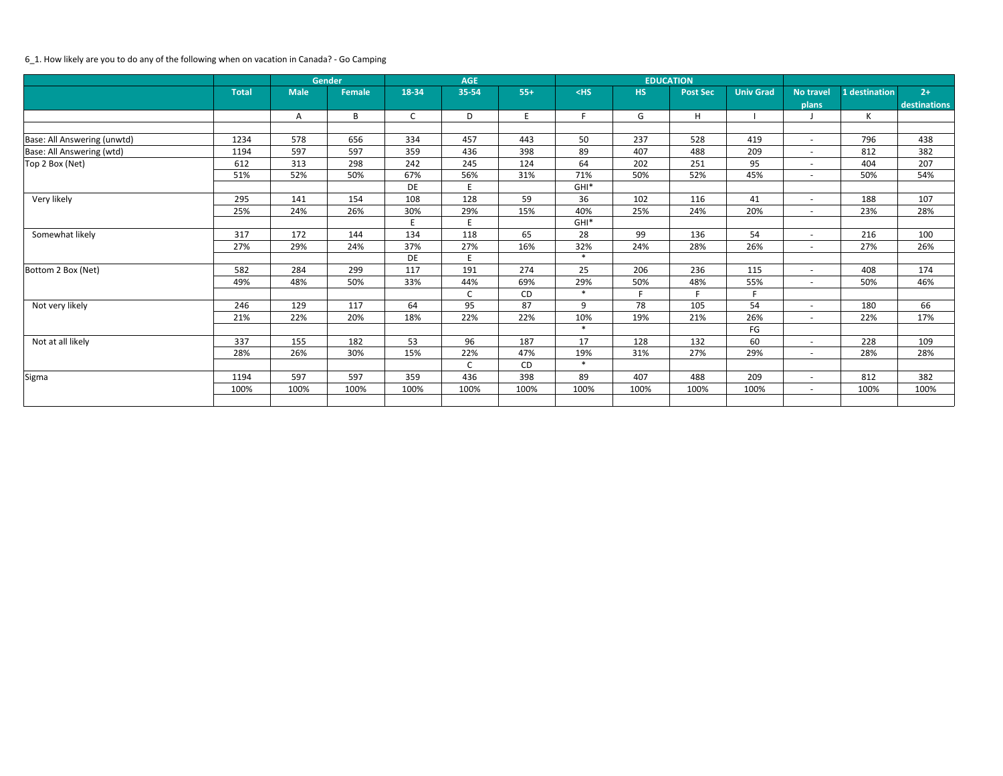### 6\_1. How likely are you to do any of the following when on vacation in Canada? - Go Camping

|                             |              |             | <b>Gender</b> |              | <b>AGE</b>   |       |         |           | <b>EDUCATION</b> |                  |                          |               |              |
|-----------------------------|--------------|-------------|---------------|--------------|--------------|-------|---------|-----------|------------------|------------------|--------------------------|---------------|--------------|
|                             | <b>Total</b> | <b>Male</b> | Female        | 18-34        | 35-54        | $55+$ | $<$ HS  | <b>HS</b> | <b>Post Sec</b>  | <b>Univ Grad</b> | <b>No travel</b>         | 1 destination | $2+$         |
|                             |              |             |               |              |              |       |         |           |                  |                  | plans                    |               | destinations |
|                             |              | A           | B             | $\mathsf{C}$ | D            | E     | F.      | G         | H                |                  |                          | К             |              |
|                             |              |             |               |              |              |       |         |           |                  |                  |                          |               |              |
| Base: All Answering (unwtd) | 1234         | 578         | 656           | 334          | 457          | 443   | 50      | 237       | 528              | 419              | $\overline{\phantom{a}}$ | 796           | 438          |
| Base: All Answering (wtd)   | 1194         | 597         | 597           | 359          | 436          | 398   | 89      | 407       | 488              | 209              | $\sim$                   | 812           | 382          |
| Top 2 Box (Net)             | 612          | 313         | 298           | 242          | 245          | 124   | 64      | 202       | 251              | 95               | $\overline{\phantom{a}}$ | 404           | 207          |
|                             | 51%          | 52%         | 50%           | 67%          | 56%          | 31%   | 71%     | 50%       | 52%              | 45%              | $\overline{\phantom{a}}$ | 50%           | 54%          |
|                             |              |             |               | DE           |              |       | $GHI^*$ |           |                  |                  |                          |               |              |
| Very likely                 | 295          | 141         | 154           | 108          | 128          | 59    | 36      | 102       | 116              | 41               | $\overline{\phantom{a}}$ | 188           | 107          |
|                             | 25%          | 24%         | 26%           | 30%          | 29%          | 15%   | 40%     | 25%       | 24%              | 20%              | $\overline{\phantom{0}}$ | 23%           | 28%          |
|                             |              |             |               | E.           |              |       | $GHI^*$ |           |                  |                  |                          |               |              |
| Somewhat likely             | 317          | 172         | 144           | 134          | 118          | 65    | 28      | 99        | 136              | 54               | $\overline{\phantom{a}}$ | 216           | 100          |
|                             | 27%          | 29%         | 24%           | 37%          | 27%          | 16%   | 32%     | 24%       | 28%              | 26%              | $\overline{\phantom{0}}$ | 27%           | 26%          |
|                             |              |             |               | DE           |              |       | $\ast$  |           |                  |                  |                          |               |              |
| Bottom 2 Box (Net)          | 582          | 284         | 299           | 117          | 191          | 274   | 25      | 206       | 236              | 115              | $\overline{\phantom{0}}$ | 408           | 174          |
|                             | 49%          | 48%         | 50%           | 33%          | 44%          | 69%   | 29%     | 50%       | 48%              | 55%              | $\overline{\phantom{a}}$ | 50%           | 46%          |
|                             |              |             |               |              | C            | CD    | $\ast$  | F.        |                  | F                |                          |               |              |
| Not very likely             | 246          | 129         | 117           | 64           | 95           | 87    | 9       | 78        | 105              | 54               | $\overline{\phantom{a}}$ | 180           | 66           |
|                             | 21%          | 22%         | 20%           | 18%          | 22%          | 22%   | 10%     | 19%       | 21%              | 26%              | $\overline{a}$           | 22%           | 17%          |
|                             |              |             |               |              |              |       | $\ast$  |           |                  | FG               |                          |               |              |
| Not at all likely           | 337          | 155         | 182           | 53           | 96           | 187   | 17      | 128       | 132              | 60               | $\overline{\phantom{0}}$ | 228           | 109          |
|                             | 28%          | 26%         | 30%           | 15%          | 22%          | 47%   | 19%     | 31%       | 27%              | 29%              | $\overline{\phantom{0}}$ | 28%           | 28%          |
|                             |              |             |               |              | $\mathsf{C}$ | CD    | $\ast$  |           |                  |                  |                          |               |              |
| Sigma                       | 1194         | 597         | 597           | 359          | 436          | 398   | 89      | 407       | 488              | 209              | $\overline{\phantom{0}}$ | 812           | 382          |
|                             | 100%         | 100%        | 100%          | 100%         | 100%         | 100%  | 100%    | 100%      | 100%             | 100%             | $\sim$                   | 100%          | 100%         |
|                             |              |             |               |              |              |       |         |           |                  |                  |                          |               |              |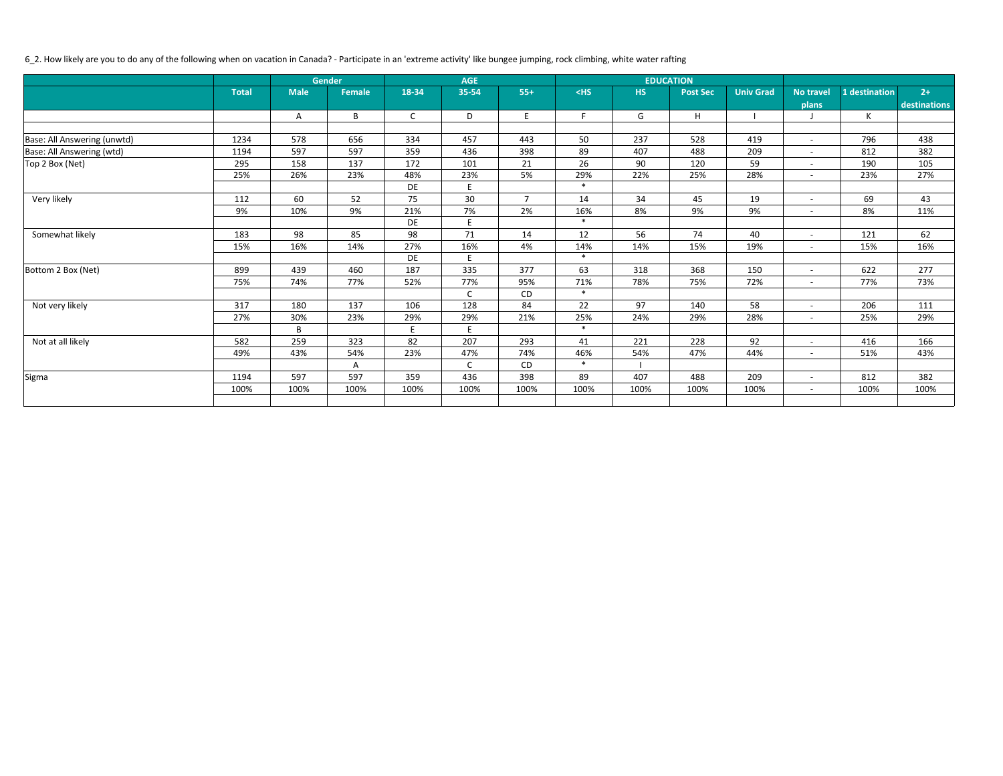# 6\_2. How likely are you to do any of the following when on vacation in Canada? - Participate in an 'extreme activity' like bungee jumping, rock climbing, white water rafting

|                             |              |             | Gender        |              | <b>AGE</b>   |                |        |           | <b>EDUCATION</b> |                  |                          |               |              |
|-----------------------------|--------------|-------------|---------------|--------------|--------------|----------------|--------|-----------|------------------|------------------|--------------------------|---------------|--------------|
|                             | <b>Total</b> | <b>Male</b> | <b>Female</b> | 18-34        | 35-54        | $55+$          | $<$ HS | <b>HS</b> | <b>Post Sec</b>  | <b>Univ Grad</b> | <b>No travel</b>         | 1 destination | $2+$         |
|                             |              |             |               |              |              |                |        |           |                  |                  | plans                    |               | destinations |
|                             |              | A           | B             | $\mathsf{C}$ | D            | E              | F.     | G         | H                |                  |                          | $\mathsf{K}$  |              |
|                             |              |             |               |              |              |                |        |           |                  |                  |                          |               |              |
| Base: All Answering (unwtd) | 1234         | 578         | 656           | 334          | 457          | 443            | 50     | 237       | 528              | 419              | $\overline{\phantom{a}}$ | 796           | 438          |
| Base: All Answering (wtd)   | 1194         | 597         | 597           | 359          | 436          | 398            | 89     | 407       | 488              | 209              | $\blacksquare$           | 812           | 382          |
| Top 2 Box (Net)             | 295          | 158         | 137           | 172          | 101          | 21             | 26     | 90        | 120              | 59               | $\overline{\phantom{a}}$ | 190           | 105          |
|                             | 25%          | 26%         | 23%           | 48%          | 23%          | 5%             | 29%    | 22%       | 25%              | 28%              | $\overline{\phantom{a}}$ | 23%           | 27%          |
|                             |              |             |               | DE           | E            |                | $\ast$ |           |                  |                  |                          |               |              |
| Very likely                 | 112          | 60          | 52            | 75           | 30           | $\overline{7}$ | 14     | 34        | 45               | 19               | $\overline{\phantom{a}}$ | 69            | 43           |
|                             | 9%           | 10%         | 9%            | 21%          | 7%           | 2%             | 16%    | 8%        | 9%               | 9%               | $-$                      | 8%            | 11%          |
|                             |              |             |               | DE           | E            |                | $\ast$ |           |                  |                  |                          |               |              |
| Somewhat likely             | 183          | 98          | 85            | 98           | 71           | 14             | 12     | 56        | 74               | 40               | $\overline{\phantom{a}}$ | 121           | 62           |
|                             | 15%          | 16%         | 14%           | 27%          | 16%          | 4%             | 14%    | 14%       | 15%              | 19%              | $-$                      | 15%           | 16%          |
|                             |              |             |               | DE           | E            |                | $\ast$ |           |                  |                  |                          |               |              |
| Bottom 2 Box (Net)          | 899          | 439         | 460           | 187          | 335          | 377            | 63     | 318       | 368              | 150              | $\overline{\phantom{a}}$ | 622           | 277          |
|                             | 75%          | 74%         | 77%           | 52%          | 77%          | 95%            | 71%    | 78%       | 75%              | 72%              | $\overline{\phantom{a}}$ | 77%           | 73%          |
|                             |              |             |               |              | $\mathsf{C}$ | CD             | $\ast$ |           |                  |                  |                          |               |              |
| Not very likely             | 317          | 180         | 137           | 106          | 128          | 84             | 22     | 97        | 140              | 58               | $\overline{\phantom{a}}$ | 206           | 111          |
|                             | 27%          | 30%         | 23%           | 29%          | 29%          | 21%            | 25%    | 24%       | 29%              | 28%              | $-$                      | 25%           | 29%          |
|                             |              | B           |               | E            | E            |                | $\ast$ |           |                  |                  |                          |               |              |
| Not at all likely           | 582          | 259         | 323           | 82           | 207          | 293            | 41     | 221       | 228              | 92               | $\blacksquare$           | 416           | 166          |
|                             | 49%          | 43%         | 54%           | 23%          | 47%          | 74%            | 46%    | 54%       | 47%              | 44%              | $\sim$                   | 51%           | 43%          |
|                             |              |             | A             |              | $\mathsf{C}$ | CD             | $\ast$ |           |                  |                  |                          |               |              |
| Sigma                       | 1194         | 597         | 597           | 359          | 436          | 398            | 89     | 407       | 488              | 209              | $-$                      | 812           | 382          |
|                             | 100%         | 100%        | 100%          | 100%         | 100%         | 100%           | 100%   | 100%      | 100%             | 100%             | $\overline{\phantom{0}}$ | 100%          | 100%         |
|                             |              |             |               |              |              |                |        |           |                  |                  |                          |               |              |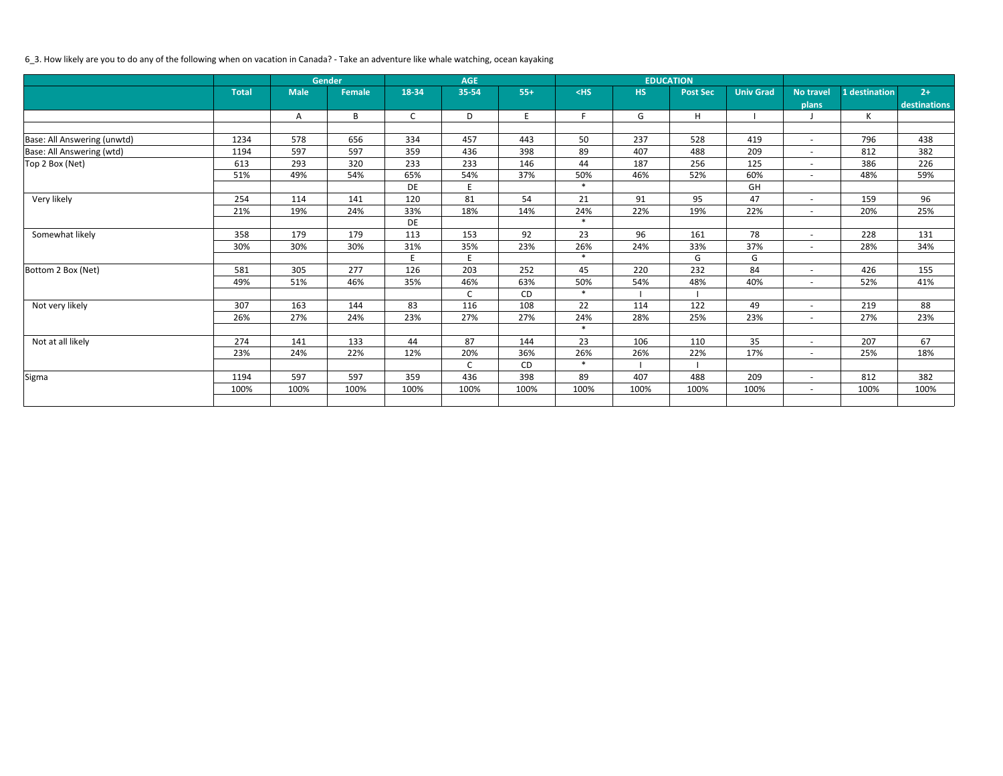# 6\_3. How likely are you to do any of the following when on vacation in Canada? - Take an adventure like whale watching, ocean kayaking

|                             |              |             | <b>Gender</b> |              | <b>AGE</b> |       |        |      | <b>EDUCATION</b> |                  |                          |               |              |
|-----------------------------|--------------|-------------|---------------|--------------|------------|-------|--------|------|------------------|------------------|--------------------------|---------------|--------------|
|                             | <b>Total</b> | <b>Male</b> | <b>Female</b> | 18-34        | 35-54      | $55+$ | $<$ HS | HS   | <b>Post Sec</b>  | <b>Univ Grad</b> | <b>No travel</b>         | 1 destination | $2+$         |
|                             |              |             |               |              |            |       |        |      |                  |                  | plans                    |               | destinations |
|                             |              | Α           | B             | $\mathsf{C}$ | D          | E     | F.     | G    | H                |                  |                          | K             |              |
|                             |              |             |               |              |            |       |        |      |                  |                  |                          |               |              |
| Base: All Answering (unwtd) | 1234         | 578         | 656           | 334          | 457        | 443   | 50     | 237  | 528              | 419              | $\overline{\phantom{a}}$ | 796           | 438          |
| Base: All Answering (wtd)   | 1194         | 597         | 597           | 359          | 436        | 398   | 89     | 407  | 488              | 209              | $\overline{a}$           | 812           | 382          |
| Top 2 Box (Net)             | 613          | 293         | 320           | 233          | 233        | 146   | 44     | 187  | 256              | 125              | $\sim$                   | 386           | 226          |
|                             | 51%          | 49%         | 54%           | 65%          | 54%        | 37%   | 50%    | 46%  | 52%              | 60%              | $\overline{\phantom{a}}$ | 48%           | 59%          |
|                             |              |             |               | DE           | E          |       | $\ast$ |      |                  | GH               |                          |               |              |
| Very likely                 | 254          | 114         | 141           | 120          | 81         | 54    | 21     | 91   | 95               | 47               | $\overline{\phantom{a}}$ | 159           | 96           |
|                             | 21%          | 19%         | 24%           | 33%          | 18%        | 14%   | 24%    | 22%  | 19%              | 22%              | $\overline{\phantom{a}}$ | 20%           | 25%          |
|                             |              |             |               | DE           |            |       | $\ast$ |      |                  |                  |                          |               |              |
| Somewhat likely             | 358          | 179         | 179           | 113          | 153        | 92    | 23     | 96   | 161              | 78               | $\overline{\phantom{a}}$ | 228           | 131          |
|                             | 30%          | 30%         | 30%           | 31%          | 35%        | 23%   | 26%    | 24%  | 33%              | 37%              | $\overline{\phantom{a}}$ | 28%           | 34%          |
|                             |              |             |               | E            | E          |       | $\ast$ |      | G                | G                |                          |               |              |
| Bottom 2 Box (Net)          | 581          | 305         | 277           | 126          | 203        | 252   | 45     | 220  | 232              | 84               | $\overline{\phantom{a}}$ | 426           | 155          |
|                             | 49%          | 51%         | 46%           | 35%          | 46%        | 63%   | 50%    | 54%  | 48%              | 40%              | $\overline{\phantom{a}}$ | 52%           | 41%          |
|                             |              |             |               |              | C          | CD    | $\ast$ |      |                  |                  |                          |               |              |
| Not very likely             | 307          | 163         | 144           | 83           | 116        | 108   | 22     | 114  | 122              | 49               | $\overline{\phantom{a}}$ | 219           | 88           |
|                             | 26%          | 27%         | 24%           | 23%          | 27%        | 27%   | 24%    | 28%  | 25%              | 23%              | $\overline{\phantom{a}}$ | 27%           | 23%          |
|                             |              |             |               |              |            |       | $\ast$ |      |                  |                  |                          |               |              |
| Not at all likely           | 274          | 141         | 133           | 44           | 87         | 144   | 23     | 106  | 110              | 35               | $\overline{\phantom{a}}$ | 207           | 67           |
|                             | 23%          | 24%         | 22%           | 12%          | 20%        | 36%   | 26%    | 26%  | 22%              | 17%              | $\sim$                   | 25%           | 18%          |
|                             |              |             |               |              | C          | CD    | $\ast$ |      |                  |                  |                          |               |              |
| Sigma                       | 1194         | 597         | 597           | 359          | 436        | 398   | 89     | 407  | 488              | 209              | $\overline{a}$           | 812           | 382          |
|                             | 100%         | 100%        | 100%          | 100%         | 100%       | 100%  | 100%   | 100% | 100%             | 100%             | $-$                      | 100%          | 100%         |
|                             |              |             |               |              |            |       |        |      |                  |                  |                          |               |              |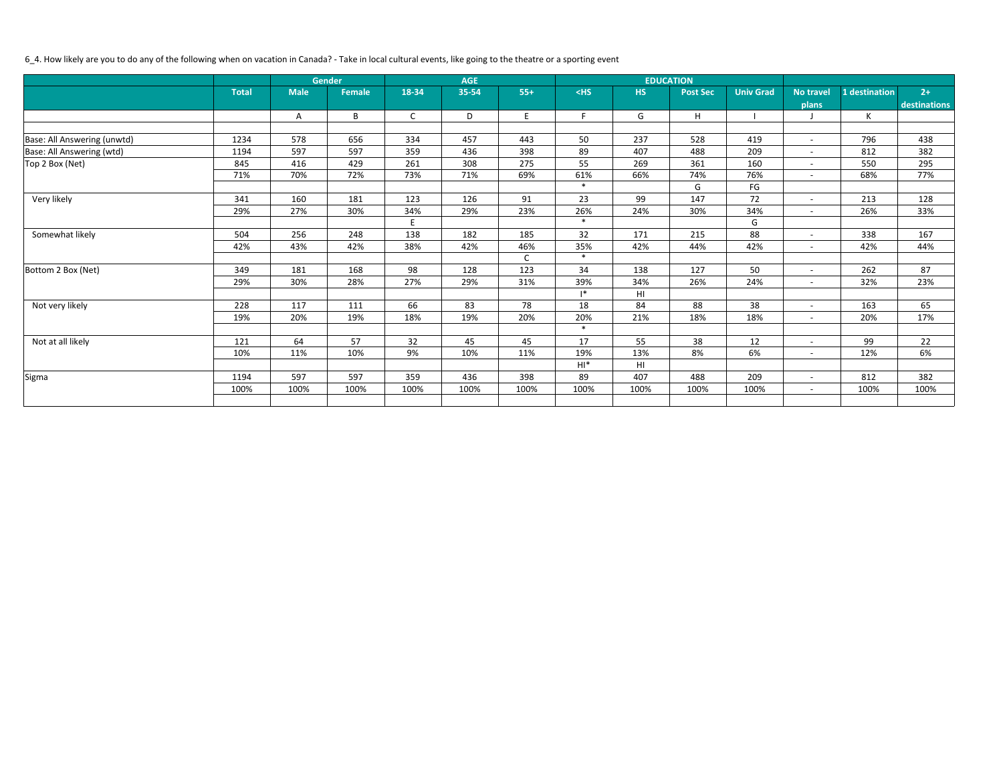# 6\_4. How likely are you to do any of the following when on vacation in Canada? - Take in local cultural events, like going to the theatre or a sporting event

|                             |              | <b>Gender</b> |               |              | <b>AGE</b> |       |                |           | <b>EDUCATION</b> |                  |                          |               |              |
|-----------------------------|--------------|---------------|---------------|--------------|------------|-------|----------------|-----------|------------------|------------------|--------------------------|---------------|--------------|
|                             | <b>Total</b> | <b>Male</b>   | <b>Female</b> | 18-34        | 35-54      | $55+$ | $<$ HS         | <b>HS</b> | <b>Post Sec</b>  | <b>Univ Grad</b> | <b>No travel</b>         | 1 destination | $2+$         |
|                             |              |               |               |              |            |       |                |           |                  |                  | plans                    |               | destinations |
|                             |              | A             | B             | $\mathsf{C}$ | D          | E     | F              | G         | H                |                  |                          | K             |              |
|                             |              |               |               |              |            |       |                |           |                  |                  |                          |               |              |
| Base: All Answering (unwtd) | 1234         | 578           | 656           | 334          | 457        | 443   | 50             | 237       | 528              | 419              | $\overline{\phantom{a}}$ | 796           | 438          |
| Base: All Answering (wtd)   | 1194         | 597           | 597           | 359          | 436        | 398   | 89             | 407       | 488              | 209              | $\overline{\phantom{a}}$ | 812           | 382          |
| Top 2 Box (Net)             | 845          | 416           | 429           | 261          | 308        | 275   | 55             | 269       | 361              | 160              | $\overline{\phantom{a}}$ | 550           | 295          |
|                             | 71%          | 70%           | 72%           | 73%          | 71%        | 69%   | 61%            | 66%       | 74%              | 76%              | $\overline{\phantom{a}}$ | 68%           | 77%          |
|                             |              |               |               |              |            |       | $\ast$         |           | G                | FG               |                          |               |              |
| Very likely                 | 341          | 160           | 181           | 123          | 126        | 91    | 23             | 99        | 147              | 72               | $\overline{\phantom{a}}$ | 213           | 128          |
|                             | 29%          | 27%           | 30%           | 34%          | 29%        | 23%   | 26%            | 24%       | 30%              | 34%              | $\overline{a}$           | 26%           | 33%          |
|                             |              |               |               | E            |            |       | $\ast$         |           |                  | G                |                          |               |              |
| Somewhat likely             | 504          | 256           | 248           | 138          | 182        | 185   | 32             | 171       | 215              | 88               | $\overline{\phantom{a}}$ | 338           | 167          |
|                             | 42%          | 43%           | 42%           | 38%          | 42%        | 46%   | 35%            | 42%       | 44%              | 42%              | $\sim$                   | 42%           | 44%          |
|                             |              |               |               |              |            | C     | $\ast$         |           |                  |                  |                          |               |              |
| Bottom 2 Box (Net)          | 349          | 181           | 168           | 98           | 128        | 123   | 34             | 138       | 127              | 50               | $\overline{\phantom{a}}$ | 262           | 87           |
|                             | 29%          | 30%           | 28%           | 27%          | 29%        | 31%   | 39%            | 34%       | 26%              | 24%              | $\overline{a}$           | 32%           | 23%          |
|                             |              |               |               |              |            |       | $\mathsf{I}^*$ | HI        |                  |                  |                          |               |              |
| Not very likely             | 228          | 117           | 111           | 66           | 83         | 78    | 18             | 84        | 88               | 38               | $\overline{\phantom{a}}$ | 163           | 65           |
|                             | 19%          | 20%           | 19%           | 18%          | 19%        | 20%   | 20%            | 21%       | 18%              | 18%              | $\overline{a}$           | 20%           | 17%          |
|                             |              |               |               |              |            |       | $\ast$         |           |                  |                  |                          |               |              |
| Not at all likely           | 121          | 64            | 57            | 32           | 45         | 45    | 17             | 55        | 38               | 12               | $\overline{\phantom{a}}$ | 99            | 22           |
|                             | 10%          | 11%           | 10%           | 9%           | 10%        | 11%   | 19%            | 13%       | 8%               | 6%               | $\sim$                   | 12%           | 6%           |
|                             |              |               |               |              |            |       | $H I^*$        | HI        |                  |                  |                          |               |              |
| Sigma                       | 1194         | 597           | 597           | 359          | 436        | 398   | 89             | 407       | 488              | 209              | $\overline{\phantom{a}}$ | 812           | 382          |
|                             | 100%         | 100%          | 100%          | 100%         | 100%       | 100%  | 100%           | 100%      | 100%             | 100%             | $\sim$                   | 100%          | 100%         |
|                             |              |               |               |              |            |       |                |           |                  |                  |                          |               |              |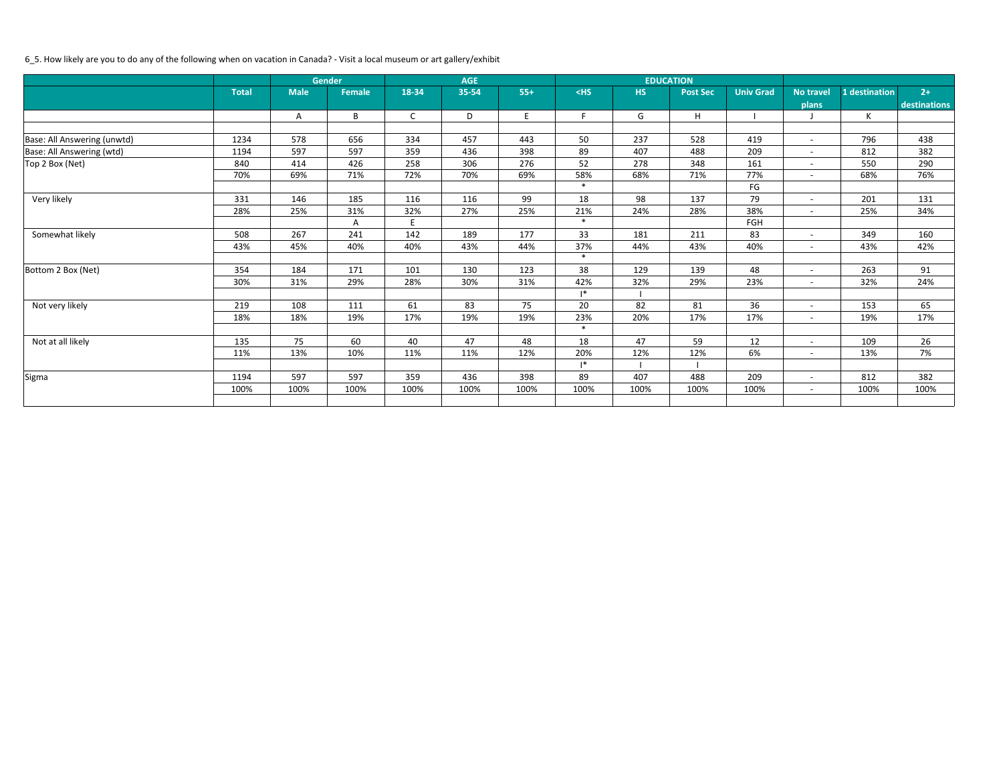# 6\_5. How likely are you to do any of the following when on vacation in Canada? - Visit a local museum or art gallery/exhibit

|                             |              |             | <b>Gender</b> |              | <b>AGE</b> |       |                |           | <b>EDUCATION</b> |                  |                          |               |              |
|-----------------------------|--------------|-------------|---------------|--------------|------------|-------|----------------|-----------|------------------|------------------|--------------------------|---------------|--------------|
|                             | <b>Total</b> | <b>Male</b> | <b>Female</b> | 18-34        | 35-54      | $55+$ | $<$ HS         | <b>HS</b> | <b>Post Sec</b>  | <b>Univ Grad</b> | <b>No travel</b>         | 1 destination | $2+$         |
|                             |              |             |               |              |            |       |                |           |                  |                  | plans                    |               | destinations |
|                             |              | Α           | B             | $\mathsf{C}$ | D          | E     | F.             | G         | Н                |                  |                          | K             |              |
|                             |              |             |               |              |            |       |                |           |                  |                  |                          |               |              |
| Base: All Answering (unwtd) | 1234         | 578         | 656           | 334          | 457        | 443   | 50             | 237       | 528              | 419              | $\overline{\phantom{a}}$ | 796           | 438          |
| Base: All Answering (wtd)   | 1194         | 597         | 597           | 359          | 436        | 398   | 89             | 407       | 488              | 209              | $\overline{\phantom{a}}$ | 812           | 382          |
| Top 2 Box (Net)             | 840          | 414         | 426           | 258          | 306        | 276   | 52             | 278       | 348              | 161              | $\sim$                   | 550           | 290          |
|                             | 70%          | 69%         | 71%           | 72%          | 70%        | 69%   | 58%            | 68%       | 71%              | 77%              | $\overline{\phantom{a}}$ | 68%           | 76%          |
|                             |              |             |               |              |            |       | $\ast$         |           |                  | FG               |                          |               |              |
| Very likely                 | 331          | 146         | 185           | 116          | 116        | 99    | 18             | 98        | 137              | 79               | $\overline{\phantom{a}}$ | 201           | 131          |
|                             | 28%          | 25%         | 31%           | 32%          | 27%        | 25%   | 21%            | 24%       | 28%              | 38%              | $\overline{\phantom{a}}$ | 25%           | 34%          |
|                             |              |             | Α             | E.           |            |       | $\ast$         |           |                  | FGH              |                          |               |              |
| Somewhat likely             | 508          | 267         | 241           | 142          | 189        | 177   | 33             | 181       | 211              | 83               | $\overline{\phantom{a}}$ | 349           | 160          |
|                             | 43%          | 45%         | 40%           | 40%          | 43%        | 44%   | 37%            | 44%       | 43%              | 40%              | $\overline{\phantom{a}}$ | 43%           | 42%          |
|                             |              |             |               |              |            |       | $\ast$         |           |                  |                  |                          |               |              |
| Bottom 2 Box (Net)          | 354          | 184         | 171           | 101          | 130        | 123   | 38             | 129       | 139              | 48               | $\overline{\phantom{a}}$ | 263           | 91           |
|                             | 30%          | 31%         | 29%           | 28%          | 30%        | 31%   | 42%            | 32%       | 29%              | 23%              | $\overline{\phantom{a}}$ | 32%           | 24%          |
|                             |              |             |               |              |            |       | $\mathsf{I}^*$ |           |                  |                  |                          |               |              |
| Not very likely             | 219          | 108         | 111           | 61           | 83         | 75    | 20             | 82        | 81               | 36               | $\overline{\phantom{a}}$ | 153           | 65           |
|                             | 18%          | 18%         | 19%           | 17%          | 19%        | 19%   | 23%            | 20%       | 17%              | 17%              | $\sim$                   | 19%           | 17%          |
|                             |              |             |               |              |            |       | $\ast$         |           |                  |                  |                          |               |              |
| Not at all likely           | 135          | 75          | 60            | 40           | 47         | 48    | 18             | 47        | 59               | 12               | $\overline{\phantom{a}}$ | 109           | 26           |
|                             | 11%          | 13%         | 10%           | 11%          | 11%        | 12%   | 20%            | 12%       | 12%              | 6%               | $\overline{a}$           | 13%           | 7%           |
|                             |              |             |               |              |            |       | $\mathsf{I}^*$ |           |                  |                  |                          |               |              |
| Sigma                       | 1194         | 597         | 597           | 359          | 436        | 398   | 89             | 407       | 488              | 209              | $\overline{\phantom{a}}$ | 812           | 382          |
|                             | 100%         | 100%        | 100%          | 100%         | 100%       | 100%  | 100%           | 100%      | 100%             | 100%             | $ \,$                    | 100%          | 100%         |
|                             |              |             |               |              |            |       |                |           |                  |                  |                          |               |              |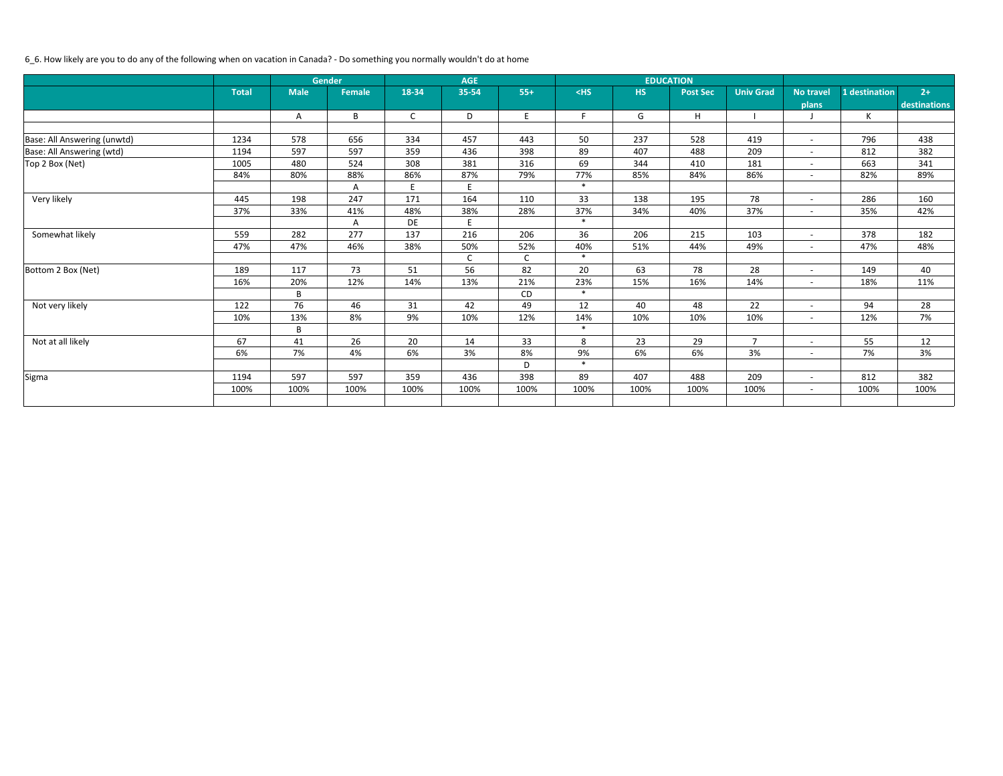# 6\_6. How likely are you to do any of the following when on vacation in Canada? - Do something you normally wouldn't do at home

|                             | <b>Gender</b> |             |               |              | <b>AGE</b> |       |        |           | <b>EDUCATION</b> |                  |                          |               |              |
|-----------------------------|---------------|-------------|---------------|--------------|------------|-------|--------|-----------|------------------|------------------|--------------------------|---------------|--------------|
|                             | <b>Total</b>  | <b>Male</b> | <b>Female</b> | 18-34        | 35-54      | $55+$ | $<$ HS | <b>HS</b> | <b>Post Sec</b>  | <b>Univ Grad</b> | No travel                | 1 destination | $2+$         |
|                             |               |             |               |              |            |       |        |           |                  |                  | plans                    |               | destinations |
|                             |               | Α           | B             | $\mathsf{C}$ | D          | E     | F      | G         | H                |                  |                          | K             |              |
|                             |               |             |               |              |            |       |        |           |                  |                  |                          |               |              |
| Base: All Answering (unwtd) | 1234          | 578         | 656           | 334          | 457        | 443   | 50     | 237       | 528              | 419              | $\overline{\phantom{a}}$ | 796           | 438          |
| Base: All Answering (wtd)   | 1194          | 597         | 597           | 359          | 436        | 398   | 89     | 407       | 488              | 209              | $\overline{\phantom{a}}$ | 812           | 382          |
| Top 2 Box (Net)             | 1005          | 480         | 524           | 308          | 381        | 316   | 69     | 344       | 410              | 181              | $\overline{\phantom{a}}$ | 663           | 341          |
|                             | 84%           | 80%         | 88%           | 86%          | 87%        | 79%   | 77%    | 85%       | 84%              | 86%              | $\overline{\phantom{a}}$ | 82%           | 89%          |
|                             |               |             | Α             | E.           | E          |       | $\ast$ |           |                  |                  |                          |               |              |
| Very likely                 | 445           | 198         | 247           | 171          | 164        | 110   | 33     | 138       | 195              | 78               | $\overline{\phantom{a}}$ | 286           | 160          |
|                             | 37%           | 33%         | 41%           | 48%          | 38%        | 28%   | 37%    | 34%       | 40%              | 37%              | $\overline{\phantom{a}}$ | 35%           | 42%          |
|                             |               |             | Α             | DE           |            |       | $\ast$ |           |                  |                  |                          |               |              |
| Somewhat likely             | 559           | 282         | 277           | 137          | 216        | 206   | 36     | 206       | 215              | 103              | $\overline{\phantom{a}}$ | 378           | 182          |
|                             | 47%           | 47%         | 46%           | 38%          | 50%        | 52%   | 40%    | 51%       | 44%              | 49%              | $\overline{\phantom{a}}$ | 47%           | 48%          |
|                             |               |             |               |              | C          | C     | $\ast$ |           |                  |                  |                          |               |              |
| Bottom 2 Box (Net)          | 189           | 117         | 73            | 51           | 56         | 82    | 20     | 63        | 78               | 28               | $\overline{\phantom{a}}$ | 149           | 40           |
|                             | 16%           | 20%         | 12%           | 14%          | 13%        | 21%   | 23%    | 15%       | 16%              | 14%              | $\overline{\phantom{a}}$ | 18%           | 11%          |
|                             |               | B           |               |              |            | CD    | $\ast$ |           |                  |                  |                          |               |              |
| Not very likely             | 122           | 76          | 46            | 31           | 42         | 49    | 12     | 40        | 48               | 22               | $\overline{\phantom{a}}$ | 94            | 28           |
|                             | 10%           | 13%         | 8%            | 9%           | 10%        | 12%   | 14%    | 10%       | 10%              | 10%              | $ \,$                    | 12%           | 7%           |
|                             |               | B           |               |              |            |       | $\ast$ |           |                  |                  |                          |               |              |
| Not at all likely           | 67            | 41          | 26            | 20           | 14         | 33    | 8      | 23        | 29               | $\overline{7}$   | $\overline{\phantom{a}}$ | 55            | 12           |
|                             | 6%            | 7%          | 4%            | 6%           | 3%         | 8%    | 9%     | 6%        | 6%               | 3%               | $\overline{\phantom{a}}$ | 7%            | 3%           |
|                             |               |             |               |              |            | D     | $\ast$ |           |                  |                  |                          |               |              |
| Sigma                       | 1194          | 597         | 597           | 359          | 436        | 398   | 89     | 407       | 488              | 209              | $\overline{\phantom{a}}$ | 812           | 382          |
|                             | 100%          | 100%        | 100%          | 100%         | 100%       | 100%  | 100%   | 100%      | 100%             | 100%             | $ \,$                    | 100%          | 100%         |
|                             |               |             |               |              |            |       |        |           |                  |                  |                          |               |              |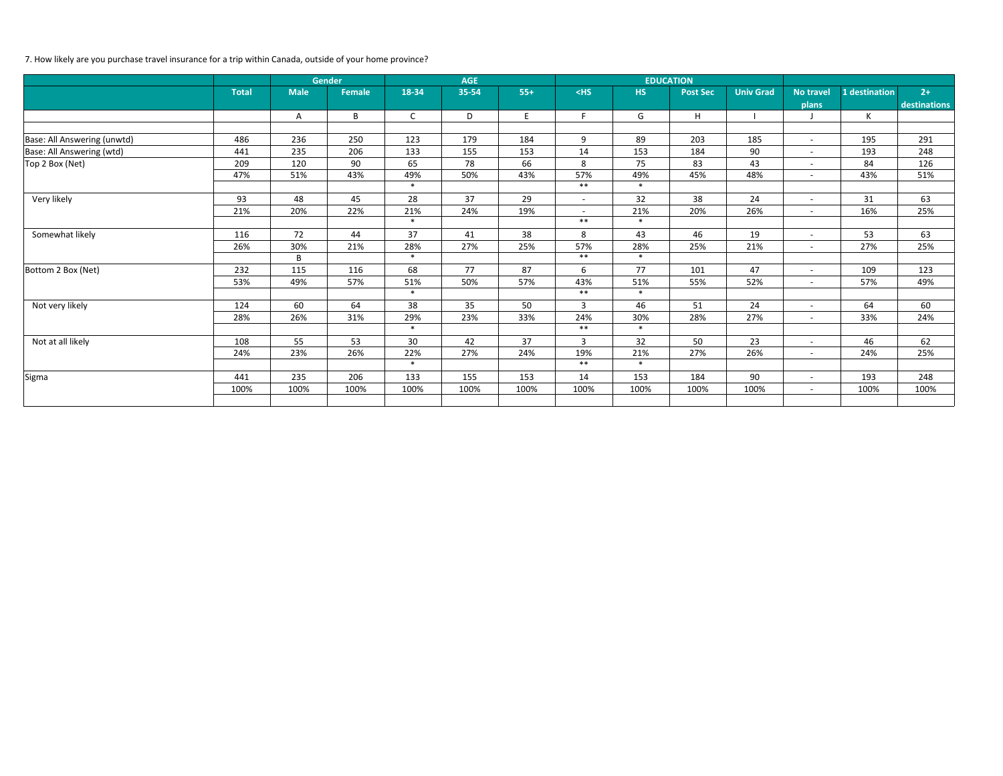# 7. How likely are you purchase travel insurance for a trip within Canada, outside of your home province?

|                             | <b>Gender</b> |             |               |              | <b>AGE</b> |       |                |           | <b>EDUCATION</b> |                  |                          |               |              |
|-----------------------------|---------------|-------------|---------------|--------------|------------|-------|----------------|-----------|------------------|------------------|--------------------------|---------------|--------------|
|                             | <b>Total</b>  | <b>Male</b> | <b>Female</b> | 18-34        | 35-54      | $55+$ | $<$ HS         | <b>HS</b> | <b>Post Sec</b>  | <b>Univ Grad</b> | <b>No travel</b>         | 1 destination | $2+$         |
|                             |               |             |               |              |            |       |                |           |                  |                  | plans                    |               | destinations |
|                             |               | A           | B             | $\mathsf{C}$ | D          | E     | F              | G         | H                |                  |                          | K             |              |
|                             |               |             |               |              |            |       |                |           |                  |                  |                          |               |              |
| Base: All Answering (unwtd) | 486           | 236         | 250           | 123          | 179        | 184   | 9              | 89        | 203              | 185              | $\overline{\phantom{a}}$ | 195           | 291          |
| Base: All Answering (wtd)   | 441           | 235         | 206           | 133          | 155        | 153   | 14             | 153       | 184              | 90               | $\overline{\phantom{a}}$ | 193           | 248          |
| Top 2 Box (Net)             | 209           | 120         | 90            | 65           | 78         | 66    | 8              | 75        | 83               | 43               | $\sim$                   | 84            | 126          |
|                             | 47%           | 51%         | 43%           | 49%          | 50%        | 43%   | 57%            | 49%       | 45%              | 48%              | $\overline{\phantom{a}}$ | 43%           | 51%          |
|                             |               |             |               | $\ast$       |            |       | $***$          | $\ast$    |                  |                  |                          |               |              |
| Very likely                 | 93            | 48          | 45            | 28           | 37         | 29    | $ \,$          | 32        | 38               | 24               | $\overline{\phantom{a}}$ | 31            | 63           |
|                             | 21%           | 20%         | 22%           | 21%          | 24%        | 19%   | $\sim$         | 21%       | 20%              | 26%              | $\overline{\phantom{a}}$ | 16%           | 25%          |
|                             |               |             |               | $\ast$       |            |       | $***$          | $\ast$    |                  |                  |                          |               |              |
| Somewhat likely             | 116           | 72          | 44            | 37           | 41         | 38    | 8              | 43        | 46               | 19               | $\overline{\phantom{a}}$ | 53            | 63           |
|                             | 26%           | 30%         | 21%           | 28%          | 27%        | 25%   | 57%            | 28%       | 25%              | 21%              | $\overline{\phantom{a}}$ | 27%           | 25%          |
|                             |               | B           |               | $\ast$       |            |       | $***$          | $\ast$    |                  |                  |                          |               |              |
| Bottom 2 Box (Net)          | 232           | 115         | 116           | 68           | 77         | 87    | 6              | 77        | 101              | 47               | $\overline{\phantom{a}}$ | 109           | 123          |
|                             | 53%           | 49%         | 57%           | 51%          | 50%        | 57%   | 43%            | 51%       | 55%              | 52%              | $\overline{\phantom{a}}$ | 57%           | 49%          |
|                             |               |             |               | $\ast$       |            |       | $***$          | $\ast$    |                  |                  |                          |               |              |
| Not very likely             | 124           | 60          | 64            | 38           | 35         | 50    | $\overline{3}$ | 46        | 51               | 24               | $\overline{\phantom{a}}$ | 64            | 60           |
|                             | 28%           | 26%         | 31%           | 29%          | 23%        | 33%   | 24%            | 30%       | 28%              | 27%              | $\overline{\phantom{a}}$ | 33%           | 24%          |
|                             |               |             |               | $\ast$       |            |       | $***$          | $\ast$    |                  |                  |                          |               |              |
| Not at all likely           | 108           | 55          | 53            | 30           | 42         | 37    | $\mathbf{3}$   | 32        | 50               | 23               | $\overline{\phantom{a}}$ | 46            | 62           |
|                             | 24%           | 23%         | 26%           | 22%          | 27%        | 24%   | 19%            | 21%       | 27%              | 26%              | $\overline{\phantom{a}}$ | 24%           | 25%          |
|                             |               |             |               | $\ast$       |            |       | $***$          | $\ast$    |                  |                  |                          |               |              |
| Sigma                       | 441           | 235         | 206           | 133          | 155        | 153   | 14             | 153       | 184              | 90               | $\overline{\phantom{a}}$ | 193           | 248          |
|                             | 100%          | 100%        | 100%          | 100%         | 100%       | 100%  | 100%           | 100%      | 100%             | 100%             | $ \,$                    | 100%          | 100%         |
|                             |               |             |               |              |            |       |                |           |                  |                  |                          |               |              |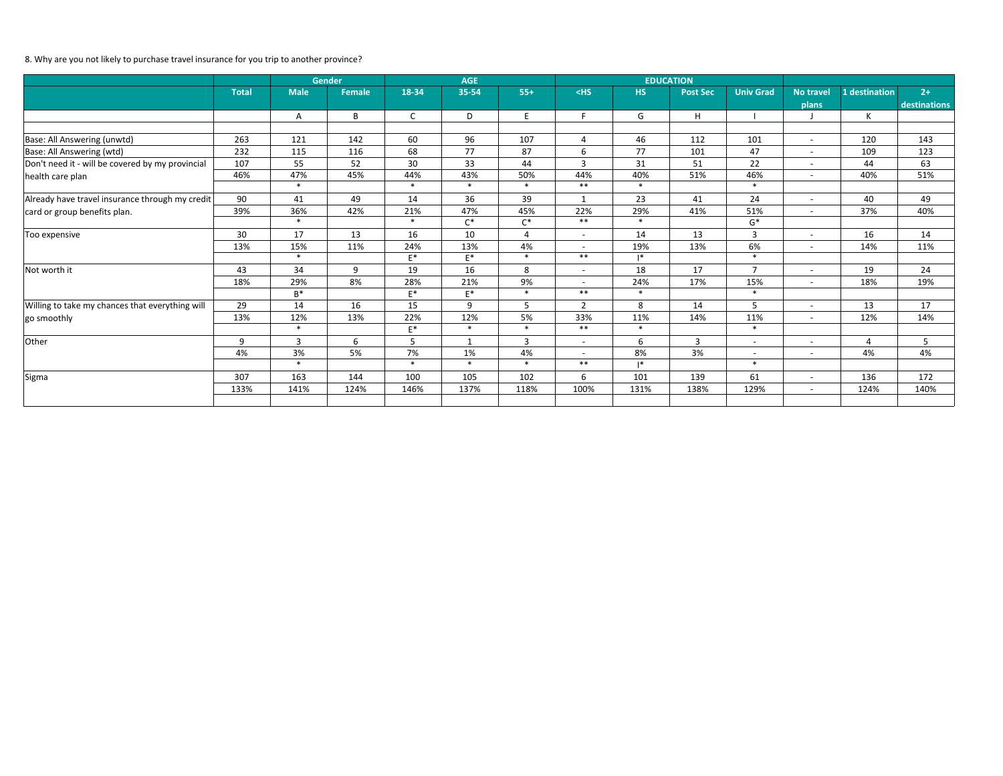# 8. Why are you not likely to purchase travel insurance for you trip to another province?

|                                                  |              | <b>Gender</b> |                  |              | <b>AGE</b>     |                |                          |                | <b>EDUCATION</b> |                          |                          |                |                     |
|--------------------------------------------------|--------------|---------------|------------------|--------------|----------------|----------------|--------------------------|----------------|------------------|--------------------------|--------------------------|----------------|---------------------|
|                                                  | <b>Total</b> | <b>Male</b>   | <b>Female</b>    | 18-34        | 35-54          | $55+$          | $<$ HS                   | <b>HS</b>      | <b>Post Sec</b>  | <b>Univ Grad</b>         | <b>No travel</b>         | 1 destination  | $2+$                |
|                                                  |              |               |                  |              |                |                |                          |                |                  |                          | plans                    |                | <b>destinations</b> |
|                                                  |              | Α             | B                | $\mathsf{C}$ | D              | E              | F.                       | G              | H                |                          |                          | К              |                     |
|                                                  |              |               |                  |              |                |                |                          |                |                  |                          |                          |                |                     |
| Base: All Answering (unwtd)                      | 263          | 121           | 142              | 60           | 96             | 107            | $\overline{4}$           | 46             | 112              | 101                      | $\sim$                   | 120            | 143                 |
| Base: All Answering (wtd)                        | 232          | 115           | 116              | 68           | 77             | 87             | 6                        | 77             | 101              | 47                       | $\sim$                   | 109            | 123                 |
| Don't need it - will be covered by my provincial | 107          | 55            | 52               | 30           | 33             | 44             | 3                        | 31             | 51               | 22                       | $\overline{\phantom{a}}$ | 44             | 63                  |
| health care plan                                 | 46%          | 47%           | 45%              | 44%          | 43%            | 50%            | 44%                      | 40%            | 51%              | 46%                      | $\overline{\phantom{a}}$ | 40%            | 51%                 |
|                                                  |              | $\ast$        |                  | $\ast$       | $\ast$         | $\ast$         | $***$                    | $\ast$         |                  | $\ast$                   |                          |                |                     |
| Already have travel insurance through my credit  | 90           | 41            | 49               | 14           | 36             | 39             | 1                        | 23             | 41               | 24                       | $\overline{\phantom{a}}$ | 40             | 49                  |
| card or group benefits plan.                     | 39%          | 36%           | 42%              | 21%          | 47%            | 45%            | 22%                      | 29%            | 41%              | 51%                      | $\overline{\phantom{a}}$ | 37%            | 40%                 |
|                                                  |              | $\ast$        |                  | $\ast$       | $C^*$          | $C^*$          | $***$                    | $\ast$         |                  | $\mathsf{G}^*$           |                          |                |                     |
| Too expensive                                    | 30           | 17            | 13               | 16           | 10             | $\overline{4}$ | $\overline{\phantom{a}}$ | 14             | 13               | $\overline{3}$           | $\overline{\phantom{a}}$ | 16             | 14                  |
|                                                  | 13%          | 15%           | 11%              | 24%          | 13%            | 4%             | $\overline{\phantom{a}}$ | 19%            | 13%              | 6%                       | $\overline{\phantom{0}}$ | 14%            | 11%                 |
|                                                  |              | $\ast$        |                  | $E^*$        | $E^*$          | $\ast$         | $***$                    | $\mathsf{I}^*$ |                  | $\ast$                   |                          |                |                     |
| Not worth it                                     | 43           | 34            | $\boldsymbol{9}$ | 19           | 16             | 8              | $\overline{\phantom{0}}$ | 18             | 17               | $\overline{7}$           | $\overline{\phantom{a}}$ | 19             | 24                  |
|                                                  | 18%          | 29%           | 8%               | 28%          | 21%            | 9%             | $\sim$                   | 24%            | 17%              | 15%                      | $\sim$                   | 18%            | 19%                 |
|                                                  |              | $B^*$         |                  | $E^*$        | $E^*$          | $\ast$         | $***$                    | $\ast$         |                  | $\ast$                   |                          |                |                     |
| Willing to take my chances that everything will  | 29           | 14            | 16               | 15           | 9              | 5              | $\overline{2}$           | 8              | 14               | 5                        | $\overline{\phantom{a}}$ | 13             | 17                  |
| go smoothly                                      | 13%          | 12%           | 13%              | 22%          | 12%            | 5%             | 33%                      | 11%            | 14%              | 11%                      | $\sim$                   | 12%            | 14%                 |
|                                                  |              | $\ast$        |                  | $E^*$        | $\ast$         | $\ast$         | $***$                    | $\ast$         |                  | $\ast$                   |                          |                |                     |
| Other                                            | 9            | 3             | 6                | 5            | $\overline{1}$ | 3              | $\overline{\phantom{0}}$ | 6              | 3                | $\overline{\phantom{a}}$ | $\overline{\phantom{a}}$ | $\overline{4}$ | 5                   |
|                                                  | 4%           | 3%            | 5%               | 7%           | 1%             | 4%             | $ \,$                    | 8%             | 3%               | $\sim$                   | $\overline{a}$           | 4%             | 4%                  |
|                                                  |              | $\ast$        |                  | $\ast$       | $\ast$         | $\ast$         | $***$                    | $\mathsf{I}^*$ |                  | $\ast$                   |                          |                |                     |
| Sigma                                            | 307          | 163           | 144              | 100          | 105            | 102            | 6                        | 101            | 139              | 61                       | $\sim$                   | 136            | 172                 |
|                                                  | 133%         | 141%          | 124%             | 146%         | 137%           | 118%           | 100%                     | 131%           | 138%             | 129%                     | $\sim$                   | 124%           | 140%                |
|                                                  |              |               |                  |              |                |                |                          |                |                  |                          |                          |                |                     |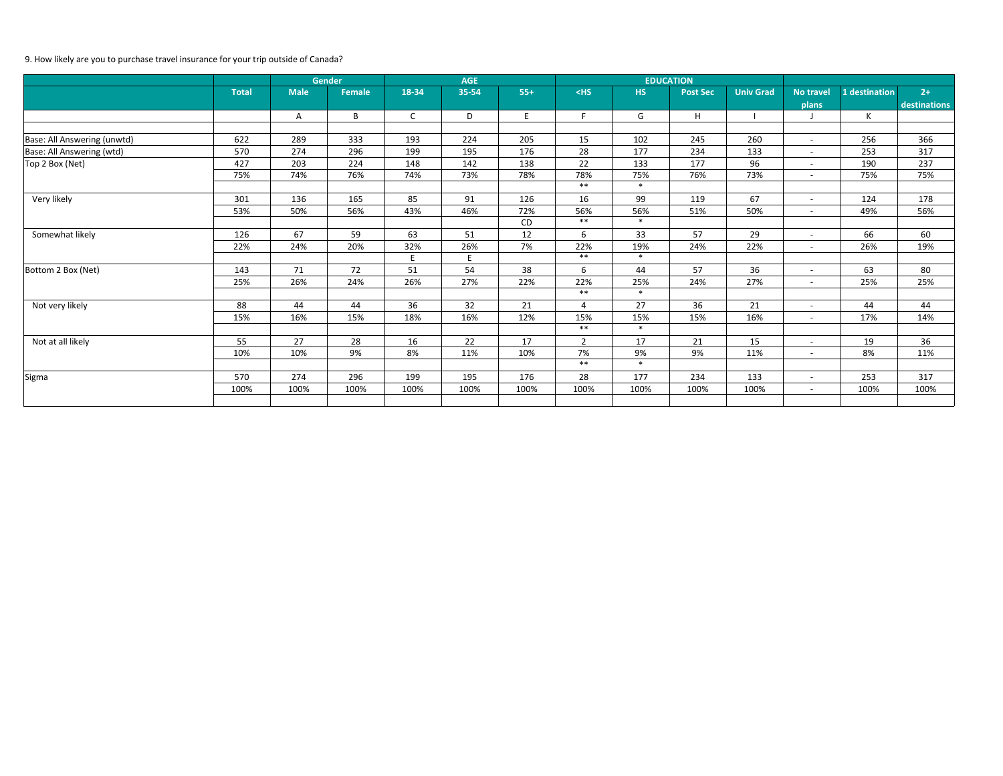# 9. How likely are you to purchase travel insurance for your trip outside of Canada?

|                             | <b>Gender</b> |             | <b>AGE</b> |              |       |       |                | <b>EDUCATION</b> |                 |                  |                          |               |              |
|-----------------------------|---------------|-------------|------------|--------------|-------|-------|----------------|------------------|-----------------|------------------|--------------------------|---------------|--------------|
|                             | <b>Total</b>  | <b>Male</b> | Female     | 18-34        | 35-54 | $55+$ | $<$ HS         | <b>HS</b>        | <b>Post Sec</b> | <b>Univ Grad</b> | <b>No travel</b>         | 1 destination | $2+$         |
|                             |               |             |            |              |       |       |                |                  |                 |                  | plans                    |               | destinations |
|                             |               | A           | B          | $\mathsf{C}$ | D     | E     | F.             | G                | H               |                  |                          | К             |              |
|                             |               |             |            |              |       |       |                |                  |                 |                  |                          |               |              |
| Base: All Answering (unwtd) | 622           | 289         | 333        | 193          | 224   | 205   | 15             | 102              | 245             | 260              | $\sim$                   | 256           | 366          |
| Base: All Answering (wtd)   | 570           | 274         | 296        | 199          | 195   | 176   | 28             | 177              | 234             | 133              | $\sim$                   | 253           | 317          |
| Top 2 Box (Net)             | 427           | 203         | 224        | 148          | 142   | 138   | 22             | 133              | 177             | 96               | $\overline{\phantom{a}}$ | 190           | 237          |
|                             | 75%           | 74%         | 76%        | 74%          | 73%   | 78%   | 78%            | 75%              | 76%             | 73%              | $\sim$                   | 75%           | 75%          |
|                             |               |             |            |              |       |       | $***$          | $\ast$           |                 |                  |                          |               |              |
| Very likely                 | 301           | 136         | 165        | 85           | 91    | 126   | 16             | 99               | 119             | 67               | $\sim$                   | 124           | 178          |
|                             | 53%           | 50%         | 56%        | 43%          | 46%   | 72%   | 56%            | 56%              | 51%             | 50%              | $\overline{\phantom{a}}$ | 49%           | 56%          |
|                             |               |             |            |              |       | CD    | $***$          | $\ast$           |                 |                  |                          |               |              |
| Somewhat likely             | 126           | 67          | 59         | 63           | 51    | 12    | 6              | 33               | 57              | 29               | $\overline{\phantom{a}}$ | 66            | 60           |
|                             | 22%           | 24%         | 20%        | 32%          | 26%   | 7%    | 22%            | 19%              | 24%             | 22%              | $\overline{\phantom{a}}$ | 26%           | 19%          |
|                             |               |             |            | E.           |       |       | $***$          | $\ast$           |                 |                  |                          |               |              |
| Bottom 2 Box (Net)          | 143           | $71\,$      | 72         | 51           | 54    | 38    | 6              | 44               | 57              | 36               | $\overline{\phantom{0}}$ | 63            | 80           |
|                             | 25%           | 26%         | 24%        | 26%          | 27%   | 22%   | 22%            | 25%              | 24%             | 27%              | $\sim$                   | 25%           | 25%          |
|                             |               |             |            |              |       |       | $***$          | $\ast$           |                 |                  |                          |               |              |
| Not very likely             | 88            | 44          | 44         | 36           | 32    | 21    | $\overline{4}$ | 27               | 36              | 21               | $\overline{\phantom{a}}$ | 44            | 44           |
|                             | 15%           | 16%         | 15%        | 18%          | 16%   | 12%   | 15%            | 15%              | 15%             | 16%              | $\sim$                   | 17%           | 14%          |
|                             |               |             |            |              |       |       | $***$          | $\ast$           |                 |                  |                          |               |              |
| Not at all likely           | 55            | 27          | 28         | 16           | 22    | 17    | $2^{\circ}$    | 17               | 21              | 15               | $ \,$                    | 19            | 36           |
|                             | 10%           | 10%         | 9%         | 8%           | 11%   | 10%   | 7%             | 9%               | 9%              | 11%              | $\overline{\phantom{0}}$ | 8%            | 11%          |
|                             |               |             |            |              |       |       | $***$          | $\ast$           |                 |                  |                          |               |              |
| Sigma                       | 570           | 274         | 296        | 199          | 195   | 176   | 28             | 177              | 234             | 133              | $\overline{\phantom{0}}$ | 253           | 317          |
|                             | 100%          | 100%        | 100%       | 100%         | 100%  | 100%  | 100%           | 100%             | 100%            | 100%             | $\sim$                   | 100%          | 100%         |
|                             |               |             |            |              |       |       |                |                  |                 |                  |                          |               |              |